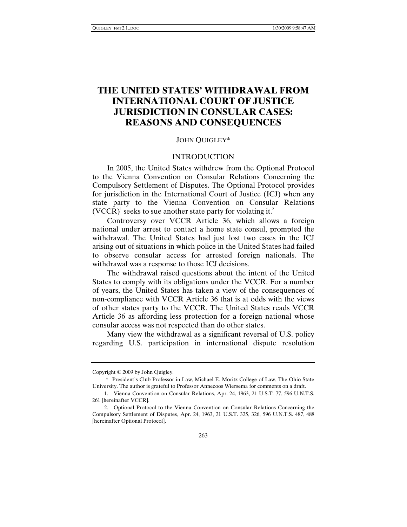# **THE UNITED STATES' WITHDRAWAL FROM INTERNATIONAL COURT OF JUSTICE JURISDICTION IN CONSULAR CASES: REASONS AND CONSEQUENCES**

#### JOHN QUIGLEY\*

#### INTRODUCTION

In 2005, the United States withdrew from the Optional Protocol to the Vienna Convention on Consular Relations Concerning the Compulsory Settlement of Disputes. The Optional Protocol provides for jurisdiction in the International Court of Justice (ICJ) when any state party to the Vienna Convention on Consular Relations  $(VCCR)^1$  seeks to sue another state party for violating it.<sup>2</sup>

Controversy over VCCR Article 36, which allows a foreign national under arrest to contact a home state consul, prompted the withdrawal. The United States had just lost two cases in the ICJ arising out of situations in which police in the United States had failed to observe consular access for arrested foreign nationals. The withdrawal was a response to those ICJ decisions.

The withdrawal raised questions about the intent of the United States to comply with its obligations under the VCCR. For a number of years, the United States has taken a view of the consequences of non-compliance with VCCR Article 36 that is at odds with the views of other states party to the VCCR. The United States reads VCCR Article 36 as affording less protection for a foreign national whose consular access was not respected than do other states.

Many view the withdrawal as a significant reversal of U.S. policy regarding U.S. participation in international dispute resolution

Copyright © 2009 by John Quigley.

 <sup>\*</sup> President's Club Professor in Law, Michael E. Moritz College of Law, The Ohio State University. The author is grateful to Professor Annecoos Wiersema for comments on a draft.

 <sup>1.</sup> Vienna Convention on Consular Relations, Apr. 24, 1963, 21 U.S.T. 77, 596 U.N.T.S. 261 [hereinafter VCCR].

 <sup>2.</sup> Optional Protocol to the Vienna Convention on Consular Relations Concerning the Compulsory Settlement of Disputes, Apr. 24, 1963, 21 U.S.T. 325, 326, 596 U.N.T.S. 487, 488 [hereinafter Optional Protocol].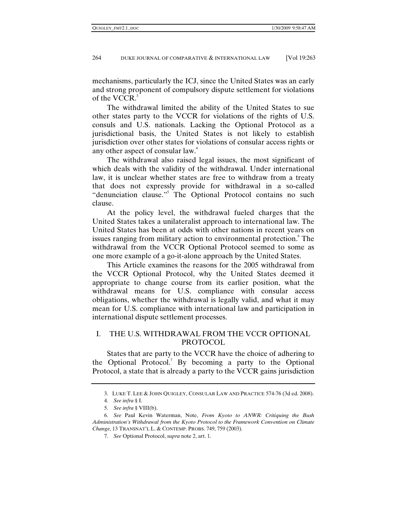mechanisms, particularly the ICJ, since the United States was an early and strong proponent of compulsory dispute settlement for violations of the VCCR.<sup>3</sup>

The withdrawal limited the ability of the United States to sue other states party to the VCCR for violations of the rights of U.S. consuls and U.S. nationals. Lacking the Optional Protocol as a jurisdictional basis, the United States is not likely to establish jurisdiction over other states for violations of consular access rights or any other aspect of consular law.<sup>4</sup>

The withdrawal also raised legal issues, the most significant of which deals with the validity of the withdrawal. Under international law, it is unclear whether states are free to withdraw from a treaty that does not expressly provide for withdrawal in a so-called "denunciation clause."<sup>5</sup> The Optional Protocol contains no such clause.

At the policy level, the withdrawal fueled charges that the United States takes a unilateralist approach to international law. The United States has been at odds with other nations in recent years on issues ranging from military action to environmental protection. The withdrawal from the VCCR Optional Protocol seemed to some as one more example of a go-it-alone approach by the United States.

This Article examines the reasons for the 2005 withdrawal from the VCCR Optional Protocol, why the United States deemed it appropriate to change course from its earlier position, what the withdrawal means for U.S. compliance with consular access obligations, whether the withdrawal is legally valid, and what it may mean for U.S. compliance with international law and participation in international dispute settlement processes.

# I. THE U.S. WITHDRAWAL FROM THE VCCR OPTIONAL PROTOCOL

States that are party to the VCCR have the choice of adhering to the Optional Protocol.<sup>7</sup> By becoming a party to the Optional Protocol, a state that is already a party to the VCCR gains jurisdiction

 <sup>3.</sup> LUKE T. LEE & JOHN QUIGLEY, CONSULAR LAW AND PRACTICE 574-76 (3d ed. 2008).

 <sup>4.</sup> *See infra* § I.

 <sup>5.</sup> *See infra* § VIII(b).

 <sup>6.</sup> *See* Paul Kevin Waterman, Note, *From Kyoto to ANWR: Critiquing the Bush Administration's Withdrawal from the Kyoto Protocol to the Framework Convention on Climate Change*, 13 TRANSNAT'L L. & CONTEMP. PROBS. 749, 759 (2003).

 <sup>7.</sup> *See* Optional Protocol, *supra* note 2, art. 1.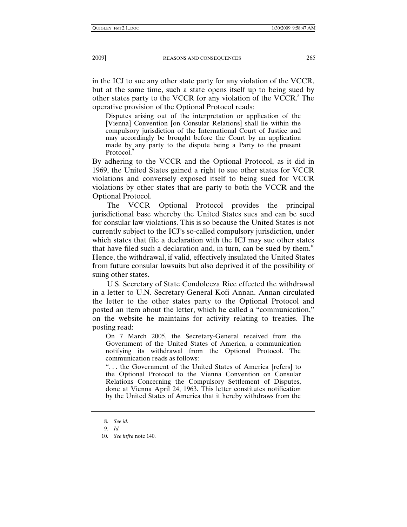in the ICJ to sue any other state party for any violation of the VCCR, but at the same time, such a state opens itself up to being sued by other states party to the VCCR for any violation of the VCCR.<sup>8</sup> The operative provision of the Optional Protocol reads:

Disputes arising out of the interpretation or application of the [Vienna] Convention [on Consular Relations] shall lie within the compulsory jurisdiction of the International Court of Justice and may accordingly be brought before the Court by an application made by any party to the dispute being a Party to the present Protocol.<sup>9</sup>

By adhering to the VCCR and the Optional Protocol, as it did in 1969, the United States gained a right to sue other states for VCCR violations and conversely exposed itself to being sued for VCCR violations by other states that are party to both the VCCR and the Optional Protocol.

The VCCR Optional Protocol provides the principal jurisdictional base whereby the United States sues and can be sued for consular law violations. This is so because the United States is not currently subject to the ICJ's so-called compulsory jurisdiction, under which states that file a declaration with the ICJ may sue other states that have filed such a declaration and, in turn, can be sued by them.<sup>10</sup> Hence, the withdrawal, if valid, effectively insulated the United States from future consular lawsuits but also deprived it of the possibility of suing other states.

U.S. Secretary of State Condoleeza Rice effected the withdrawal in a letter to U.N. Secretary-General Kofi Annan. Annan circulated the letter to the other states party to the Optional Protocol and posted an item about the letter, which he called a "communication," on the website he maintains for activity relating to treaties. The posting read:

On 7 March 2005, the Secretary-General received from the Government of the United States of America, a communication notifying its withdrawal from the Optional Protocol. The communication reads as follows:

". . . the Government of the United States of America [refers] to the Optional Protocol to the Vienna Convention on Consular Relations Concerning the Compulsory Settlement of Disputes, done at Vienna April 24, 1963. This letter constitutes notification by the United States of America that it hereby withdraws from the

 <sup>8.</sup> *See id.*

 <sup>9.</sup> *Id.*

 <sup>10.</sup> *See infra* note 140.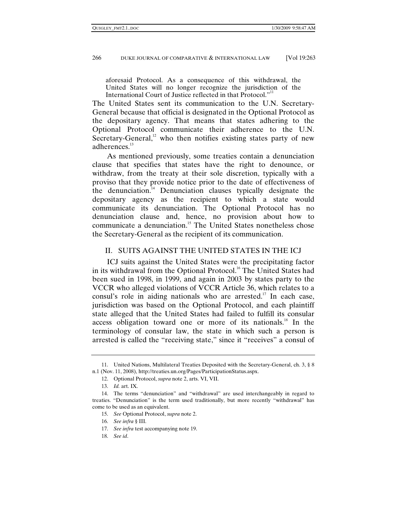aforesaid Protocol. As a consequence of this withdrawal, the United States will no longer recognize the jurisdiction of the International Court of Justice reflected in that Protocol."

The United States sent its communication to the U.N. Secretary-General because that official is designated in the Optional Protocol as the depositary agency. That means that states adhering to the Optional Protocol communicate their adherence to the U.N. Secretary-General,<sup>12</sup> who then notifies existing states party of new adherences.<sup>13</sup>

As mentioned previously, some treaties contain a denunciation clause that specifies that states have the right to denounce, or withdraw, from the treaty at their sole discretion, typically with a proviso that they provide notice prior to the date of effectiveness of the denunciation.<sup>14</sup> Denunciation clauses typically designate the depositary agency as the recipient to which a state would communicate its denunciation. The Optional Protocol has no denunciation clause and, hence, no provision about how to communicate a denunciation.<sup>15</sup> The United States nonetheless chose the Secretary-General as the recipient of its communication.

#### II. SUITS AGAINST THE UNITED STATES IN THE ICJ

ICJ suits against the United States were the precipitating factor in its withdrawal from the Optional Protocol.<sup>16</sup> The United States had been sued in 1998, in 1999, and again in 2003 by states party to the VCCR who alleged violations of VCCR Article 36, which relates to a consul's role in aiding nationals who are arrested.<sup>17</sup> In each case, jurisdiction was based on the Optional Protocol, and each plaintiff state alleged that the United States had failed to fulfill its consular access obligation toward one or more of its nationals.<sup>18</sup> In the terminology of consular law, the state in which such a person is arrested is called the "receiving state," since it "receives" a consul of

 <sup>11.</sup> United Nations, Multilateral Treaties Deposited with the Secretary-General, ch. 3, § 8 n.1 (Nov. 11, 2008), http://treaties.un.org/Pages/ParticipationStatus.aspx.

 <sup>12.</sup> Optional Protocol, *supra* note 2, arts. VI, VII.

 <sup>13.</sup> *Id.* art. IX.

 <sup>14.</sup> The terms "denunciation" and "withdrawal" are used interchangeably in regard to treaties. "Denunciation" is the term used traditionally, but more recently "withdrawal" has come to be used as an equivalent.

 <sup>15.</sup> *See* Optional Protocol, *supra* note 2.

 <sup>16.</sup> *See infra* § III.

 <sup>17.</sup> *See infra* test accompanying note 19.

 <sup>18.</sup> *See id*.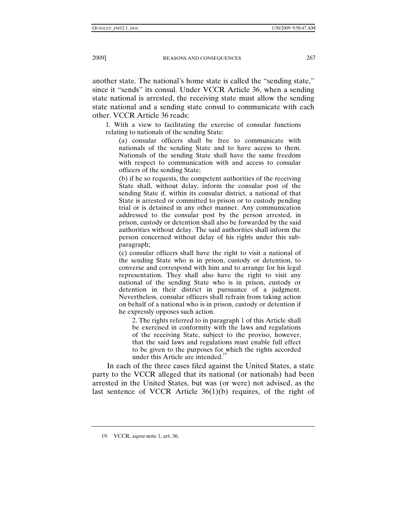another state. The national's home state is called the "sending state," since it "sends" its consul. Under VCCR Article 36, when a sending state national is arrested, the receiving state must allow the sending state national and a sending state consul to communicate with each other. VCCR Article 36 reads:

1. With a view to facilitating the exercise of consular functions relating to nationals of the sending State:

(a) consular officers shall be free to communicate with nationals of the sending State and to have access to them. Nationals of the sending State shall have the same freedom with respect to communication with and access to consular officers of the sending State;

(b) if he so requests, the competent authorities of the receiving State shall, without delay, inform the consular post of the sending State if, within its consular district, a national of that State is arrested or committed to prison or to custody pending trial or is detained in any other manner. Any communication addressed to the consular post by the person arrested, in prison, custody or detention shall also be forwarded by the said authorities without delay. The said authorities shall inform the person concerned without delay of his rights under this subparagraph;

(c) consular officers shall have the right to visit a national of the sending State who is in prison, custody or detention, to converse and correspond with him and to arrange for his legal representation. They shall also have the right to visit any national of the sending State who is in prison, custody or detention in their district in pursuance of a judgment. Nevertheless, consular officers shall refrain from taking action on behalf of a national who is in prison, custody or detention if he expressly opposes such action.

2. The rights referred to in paragraph 1 of this Article shall be exercised in conformity with the laws and regulations of the receiving State, subject to the proviso, however, that the said laws and regulations must enable full effect to be given to the purposes for which the rights accorded under this Article are intended. $19$ 

In each of the three cases filed against the United States, a state party to the VCCR alleged that its national (or nationals) had been arrested in the United States, but was (or were) not advised, as the last sentence of VCCR Article 36(1)(b) requires, of the right of

 <sup>19.</sup> VCCR, *supra* note 1, art. 36.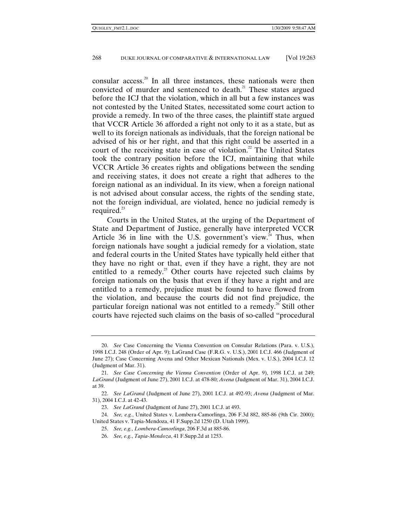consular access.20 In all three instances, these nationals were then convicted of murder and sentenced to death.<sup>21</sup> These states argued before the ICJ that the violation, which in all but a few instances was not contested by the United States, necessitated some court action to provide a remedy. In two of the three cases, the plaintiff state argued that VCCR Article 36 afforded a right not only to it as a state, but as well to its foreign nationals as individuals, that the foreign national be advised of his or her right, and that this right could be asserted in a court of the receiving state in case of violation.<sup>22</sup> The United States took the contrary position before the ICJ, maintaining that while VCCR Article 36 creates rights and obligations between the sending and receiving states, it does not create a right that adheres to the foreign national as an individual. In its view, when a foreign national is not advised about consular access, the rights of the sending state, not the foreign individual, are violated, hence no judicial remedy is required. $25$ 

Courts in the United States, at the urging of the Department of State and Department of Justice, generally have interpreted VCCR Article 36 in line with the U.S. government's view. $^{24}$  Thus, when foreign nationals have sought a judicial remedy for a violation, state and federal courts in the United States have typically held either that they have no right or that, even if they have a right, they are not entitled to a remedy.<sup>25</sup> Other courts have rejected such claims by foreign nationals on the basis that even if they have a right and are entitled to a remedy, prejudice must be found to have flowed from the violation, and because the courts did not find prejudice, the particular foreign national was not entitled to a remedy.<sup>26</sup> Still other courts have rejected such claims on the basis of so-called "procedural

 <sup>20.</sup> *See* Case Concerning the Vienna Convention on Consular Relations (Para. v. U.S.), 1998 I.C.J. 248 (Order of Apr. 9); LaGrand Case (F.R.G. v. U.S.), 2001 I.C.J. 466 (Judgment of June 27); Case Concerning Avena and Other Mexican Nationals (Mex. v. U.S.), 2004 I.C.J. 12 (Judgment of Mar. 31).

 <sup>21.</sup> *See Case Concerning the Vienna Convention* (Order of Apr. 9), 1998 I.C.J. at 249; *LaGrand* (Judgment of June 27), 2001 I.C.J. at 478-80; *Avena* (Judgment of Mar. 31), 2004 I.C.J. at 39.

 <sup>22.</sup> *See LaGrand* (Judgment of June 27), 2001 I.C.J. at 492-93; *Avena* (Judgment of Mar. 31), 2004 I.C.J. at 42-43.

 <sup>23.</sup> *See LaGrand* (Judgment of June 27), 2001 I.C.J. at 493.

 <sup>24.</sup> *See, e.g.*, United States v. Lombera-Camorlinga, 206 F.3d 882, 885-86 (9th Cir. 2000); United States v. Tapia-Mendoza, 41 F.Supp.2d 1250 (D. Utah 1999).

 <sup>25.</sup> *See, e.g.*, *Lombera-Camorlinga*, 206 F.3d at 885-86.

 <sup>26.</sup> *See, e.g.*, *Tapia-Mendoza*, 41 F.Supp.2d at 1253.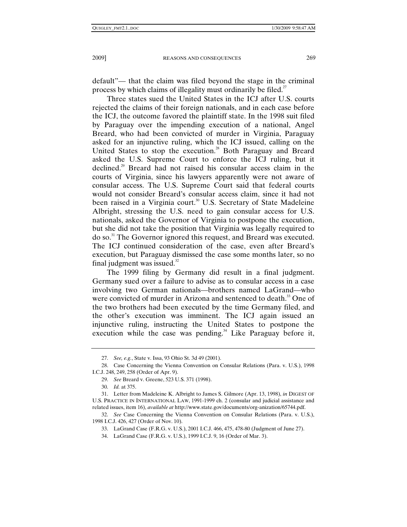default"— that the claim was filed beyond the stage in the criminal process by which claims of illegality must ordinarily be filed.<sup>27</sup>

Three states sued the United States in the ICJ after U.S. courts rejected the claims of their foreign nationals, and in each case before the ICJ, the outcome favored the plaintiff state. In the 1998 suit filed by Paraguay over the impending execution of a national, Angel Breard, who had been convicted of murder in Virginia, Paraguay asked for an injunctive ruling, which the ICJ issued, calling on the United States to stop the execution.<sup>28</sup> Both Paraguay and Breard asked the U.S. Supreme Court to enforce the ICJ ruling, but it declined.<sup>29</sup> Breard had not raised his consular access claim in the courts of Virginia, since his lawyers apparently were not aware of consular access. The U.S. Supreme Court said that federal courts would not consider Breard's consular access claim, since it had not been raised in a Virginia court.<sup>30</sup> U.S. Secretary of State Madeleine Albright, stressing the U.S. need to gain consular access for U.S. nationals, asked the Governor of Virginia to postpone the execution, but she did not take the position that Virginia was legally required to do so.31 The Governor ignored this request, and Breard was executed. The ICJ continued consideration of the case, even after Breard's execution, but Paraguay dismissed the case some months later, so no final judgment was issued. $32$ 

The 1999 filing by Germany did result in a final judgment. Germany sued over a failure to advise as to consular access in a case involving two German nationals—brothers named LaGrand—who were convicted of murder in Arizona and sentenced to death.<sup>33</sup> One of the two brothers had been executed by the time Germany filed, and the other's execution was imminent. The ICJ again issued an injunctive ruling, instructing the United States to postpone the execution while the case was pending. $34$  Like Paraguay before it,

 <sup>27.</sup> *See, e.g.*, State v. Issa, 93 Ohio St. 3d 49 (2001).

 <sup>28.</sup> Case Concerning the Vienna Convention on Consular Relations (Para. v. U.S.), 1998 I.C.J. 248, 249, 258 (Order of Apr. 9).

 <sup>29.</sup> *See* Breard v. Greene, 523 U.S. 371 (1998).

 <sup>30.</sup> *Id.* at 375.

 <sup>31.</sup> Letter from Madeleine K. Albright to James S. Gilmore (Apr. 13, 1998), *in* DIGEST OF U.S. PRACTICE IN INTERNATIONAL LAW, 1991-1999 ch. 2 (consular and judicial assistance and related issues, item 16), *available at* http://www.state.gov/documents/org-anization/65744.pdf.

 <sup>32.</sup> *See* Case Concerning the Vienna Convention on Consular Relations (Para. v. U.S.), 1998 I.C.J. 426, 427 (Order of Nov. 10).

 <sup>33.</sup> LaGrand Case (F.R.G. v. U.S.), 2001 I.C.J. 466, 475, 478-80 (Judgment of June 27).

 <sup>34.</sup> LaGrand Case (F.R.G. v. U.S.), 1999 I.C.J. 9, 16 (Order of Mar. 3).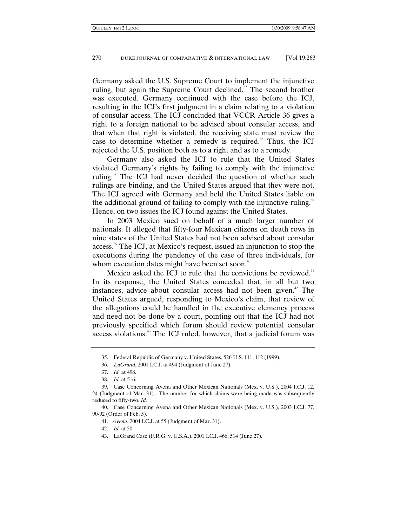Germany asked the U.S. Supreme Court to implement the injunctive ruling, but again the Supreme Court declined.<sup>35</sup> The second brother was executed. Germany continued with the case before the ICJ, resulting in the ICJ's first judgment in a claim relating to a violation of consular access. The ICJ concluded that VCCR Article 36 gives a right to a foreign national to be advised about consular access, and that when that right is violated, the receiving state must review the case to determine whether a remedy is required.<sup>36</sup> Thus, the ICJ rejected the U.S. position both as to a right and as to a remedy.

Germany also asked the ICJ to rule that the United States violated Germany's rights by failing to comply with the injunctive ruling.<sup>37</sup> The ICJ had never decided the question of whether such rulings are binding, and the United States argued that they were not. The ICJ agreed with Germany and held the United States liable on the additional ground of failing to comply with the injunctive ruling.<sup>38</sup> Hence, on two issues the ICJ found against the United States.

In 2003 Mexico sued on behalf of a much larger number of nationals. It alleged that fifty-four Mexican citizens on death rows in nine states of the United States had not been advised about consular access.<sup>39</sup> The ICJ, at Mexico's request, issued an injunction to stop the executions during the pendency of the case of three individuals, for whom execution dates might have been set soon.<sup>40</sup>

Mexico asked the ICJ to rule that the convictions be reviewed.<sup>41</sup> In its response, the United States conceded that, in all but two instances, advice about consular access had not been given. $42$  The United States argued, responding to Mexico's claim, that review of the allegations could be handled in the executive clemency process and need not be done by a court, pointing out that the ICJ had not previously specified which forum should review potential consular access violations.<sup>43</sup> The ICJ ruled, however, that a judicial forum was

 40. Case Concerning Avena and Other Mexican Nationals (Mex. v. U.S.), 2003 I.C.J. 77, 90-92 (Order of Feb. 5).

43. LaGrand Case (F.R.G. v. U.S.A.), 2001 I.C.J. 466, 514 (June 27).

 <sup>35.</sup> Federal Republic of Germany v. United States, 526 U.S. 111, 112 (1999).

 <sup>36.</sup> *LaGrand*, 2001 I.C.J. at 494 (Judgment of June 27).

 <sup>37.</sup> *Id.* at 498.

 <sup>38.</sup> *Id.* at 516.

 <sup>39.</sup> Case Concerning Avena and Other Mexican Nationals (Mex. v. U.S.), 2004 I.C.J. 12, 24 (Judgment of Mar. 31). The number for which claims were being made was subsequently reduced to fifty-two. *Id.* 

<sup>41</sup>*. Avena*, 2004 I.C.J. at 55 (Judgment of Mar. 31).

 <sup>42.</sup> *Id.* at 50.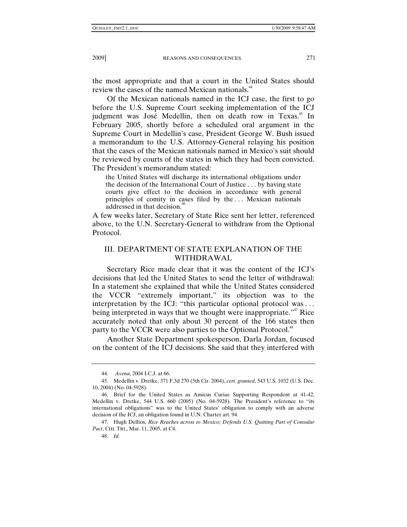the most appropriate and that a court in the United States should review the cases of the named Mexican nationals.<sup>44</sup>

Of the Mexican nationals named in the ICJ case, the first to go before the U.S. Supreme Court seeking implementation of the ICJ judgment was José Medellin, then on death row in Texas.<sup>45</sup> In February 2005, shortly before a scheduled oral argument in the Supreme Court in Medellin's case, President George W. Bush issued a memorandum to the U.S. Attorney-General relaying his position that the cases of the Mexican nationals named in Mexico's suit should be reviewed by courts of the states in which they had been convicted. The President's memorandum stated:

the United States will discharge its international obligations under the decision of the International Court of Justice . . . by having state courts give effect to the decision in accordance with general principles of comity in cases filed by the . . . Mexican nationals addressed in that decision.<sup>46</sup>

A few weeks later, Secretary of State Rice sent her letter, referenced above, to the U.N. Secretary-General to withdraw from the Optional Protocol.

# III. DEPARTMENT OF STATE EXPLANATION OF THE WITHDRAWAL

Secretary Rice made clear that it was the content of the ICJ's decisions that led the United States to send the letter of withdrawal: In a statement she explained that while the United States considered the VCCR "extremely important," its objection was to the interpretation by the ICJ: "this particular optional protocol was ... being interpreted in ways that we thought were inappropriate. $147$  Rice accurately noted that only about 30 percent of the 166 states then party to the VCCR were also parties to the Optional Protocol.<sup>48</sup>

Another State Department spokesperson, Darla Jordan, focused on the content of the ICJ decisions. She said that they interfered with

 <sup>44.</sup> *Avena*, 2004 I.C.J. at 66.

 <sup>45.</sup> Medellin v. Dretke, 371 F.3d 270 (5th Cir. 2004), *cert. granted*, 543 U.S. 1032 (U.S. Dec. 10, 2004) (No. 04-5928).

 <sup>46.</sup> Brief for the United States as Amicus Curiae Supporting Respondent at 41-42, Medellin v. Dretke, 544 U.S. 660 (2005) (No. 04-5928). The President's reference to "its international obligations" was to the United States' obligation to comply with an adverse decision of the ICJ, an obligation found in U.N. Charter art. 94.

 <sup>47.</sup> Hugh Dellios, *Rice Reaches across to Mexico; Defends U.S. Quitting Part of Consular Pact*, CHI. TRI., Mar. 11, 2005, at C4.

 <sup>48.</sup> *Id.*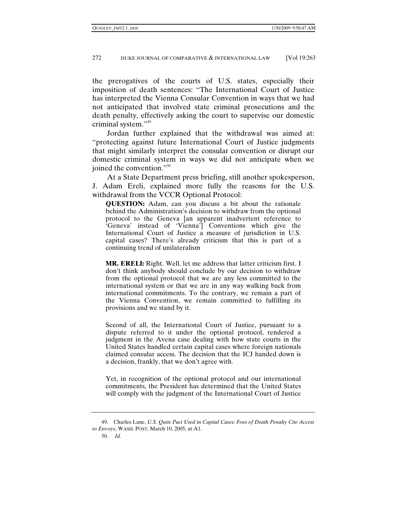the prerogatives of the courts of U.S. states, especially their imposition of death sentences: "The International Court of Justice has interpreted the Vienna Consular Convention in ways that we had not anticipated that involved state criminal prosecutions and the death penalty, effectively asking the court to supervise our domestic criminal system."<sup>49</sup>

Jordan further explained that the withdrawal was aimed at: "protecting against future International Court of Justice judgments that might similarly interpret the consular convention or disrupt our domestic criminal system in ways we did not anticipate when we joined the convention."<sup>50</sup>

At a State Department press briefing, still another spokesperson, J. Adam Ereli, explained more fully the reasons for the U.S. withdrawal from the VCCR Optional Protocol:

**QUESTION:** Adam, can you discuss a bit about the rationale behind the Administration's decision to withdraw from the optional protocol to the Geneva [an apparent inadvertent reference to 'Geneva' instead of 'Vienna'] Conventions which give the International Court of Justice a measure of jurisdiction in U.S. capital cases? There's already criticism that this is part of a continuing trend of unilateralism

**MR. ERELI:** Right. Well, let me address that latter criticism first. I don't think anybody should conclude by our decision to withdraw from the optional protocol that we are any less committed to the international system or that we are in any way walking back from international commitments. To the contrary, we remain a part of the Vienna Convention, we remain committed to fulfilling its provisions and we stand by it.

Second of all, the International Court of Justice, pursuant to a dispute referred to it under the optional protocol, rendered a judgment in the Avena case dealing with how state courts in the United States handled certain capital cases where foreign nationals claimed consular access. The decision that the ICJ handed down is a decision, frankly, that we don't agree with.

Yet, in recognition of the optional protocol and our international commitments, the President has determined that the United States will comply with the judgment of the International Court of Justice

 <sup>49.</sup> Charles Lane, *U.S. Quits Pact Used in Capital Cases; Foes of Death Penalty Cite Access to Envoys*, WASH. POST, March 10, 2005, at A1.

 <sup>50.</sup> *Id.*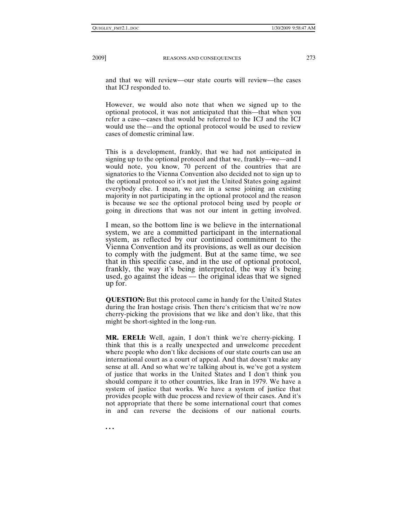**. . .**

and that we will review—our state courts will review—the cases that ICJ responded to.

However, we would also note that when we signed up to the optional protocol, it was not anticipated that this—that when you refer a case—cases that would be referred to the ICJ and the ICJ would use the—and the optional protocol would be used to review cases of domestic criminal law.

This is a development, frankly, that we had not anticipated in signing up to the optional protocol and that we, frankly—we—and I would note, you know, 70 percent of the countries that are signatories to the Vienna Convention also decided not to sign up to the optional protocol so it's not just the United States going against everybody else. I mean, we are in a sense joining an existing majority in not participating in the optional protocol and the reason is because we see the optional protocol being used by people or going in directions that was not our intent in getting involved.

I mean, so the bottom line is we believe in the international system, we are a committed participant in the international system, as reflected by our continued commitment to the Vienna Convention and its provisions, as well as our decision to comply with the judgment. But at the same time, we see that in this specific case, and in the use of optional protocol, frankly, the way it's being interpreted, the way it's being used, go against the ideas — the original ideas that we signed up for.

**QUESTION:** But this protocol came in handy for the United States during the Iran hostage crisis. Then there's criticism that we're now cherry-picking the provisions that we like and don't like, that this might be short-sighted in the long-run.

**MR. ERELI:** Well, again, I don't think we're cherry-picking. I think that this is a really unexpected and unwelcome precedent where people who don't like decisions of our state courts can use an international court as a court of appeal. And that doesn't make any sense at all. And so what we're talking about is, we've got a system of justice that works in the United States and I don't think you should compare it to other countries, like Iran in 1979. We have a system of justice that works. We have a system of justice that provides people with due process and review of their cases. And it's not appropriate that there be some international court that comes in and can reverse the decisions of our national courts.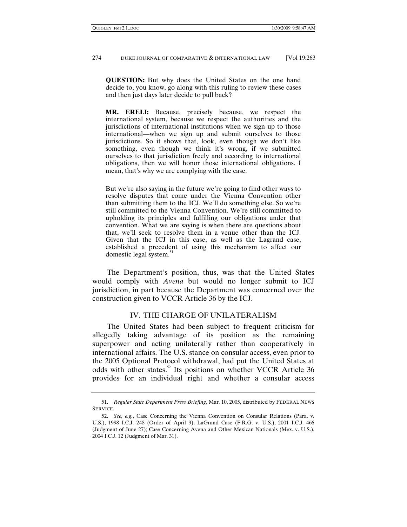**QUESTION:** But why does the United States on the one hand decide to, you know, go along with this ruling to review these cases and then just days later decide to pull back?

**MR. ERELI:** Because, precisely because, we respect the international system, because we respect the authorities and the jurisdictions of international institutions when we sign up to those international—when we sign up and submit ourselves to those jurisdictions. So it shows that, look, even though we don't like something, even though we think it's wrong, if we submitted ourselves to that jurisdiction freely and according to international obligations, then we will honor those international obligations. I mean, that's why we are complying with the case.

But we're also saying in the future we're going to find other ways to resolve disputes that come under the Vienna Convention other than submitting them to the ICJ. We'll do something else. So we're still committed to the Vienna Convention. We're still committed to upholding its principles and fulfilling our obligations under that convention. What we are saying is when there are questions about that, we'll seek to resolve them in a venue other than the ICJ. Given that the ICJ in this case, as well as the Lagrand case, established a precedent of using this mechanism to affect our domestic legal system.<sup>31</sup>

The Department's position, thus, was that the United States would comply with *Avena* but would no longer submit to ICJ jurisdiction, in part because the Department was concerned over the construction given to VCCR Article 36 by the ICJ.

## IV. THE CHARGE OF UNILATERALISM

The United States had been subject to frequent criticism for allegedly taking advantage of its position as the remaining superpower and acting unilaterally rather than cooperatively in international affairs. The U.S. stance on consular access, even prior to the 2005 Optional Protocol withdrawal, had put the United States at odds with other states.<sup>52</sup> Its positions on whether VCCR Article 36 provides for an individual right and whether a consular access

 <sup>51.</sup> *Regular State Department Press Briefing*, Mar. 10, 2005, distributed by FEDERAL NEWS SERVICE.

 <sup>52.</sup> *See, e.g.*, Case Concerning the Vienna Convention on Consular Relations (Para. v. U.S.), 1998 I.C.J. 248 (Order of April 9); LaGrand Case (F.R.G. v. U.S.), 2001 I.C.J. 466 (Judgment of June 27); Case Concerning Avena and Other Mexican Nationals (Mex. v. U.S.), 2004 I.C.J. 12 (Judgment of Mar. 31).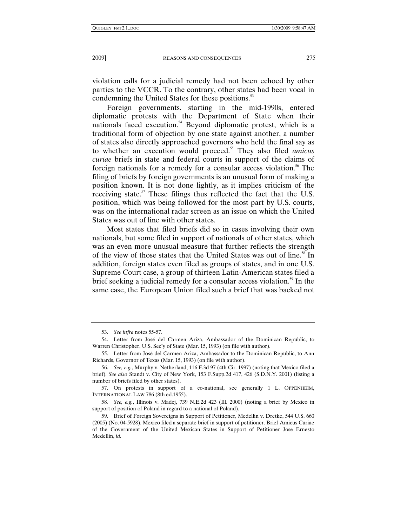violation calls for a judicial remedy had not been echoed by other parties to the VCCR. To the contrary, other states had been vocal in condemning the United States for these positions.<sup>53</sup>

Foreign governments, starting in the mid-1990s, entered diplomatic protests with the Department of State when their nationals faced execution.<sup>54</sup> Beyond diplomatic protest, which is a traditional form of objection by one state against another, a number of states also directly approached governors who held the final say as to whether an execution would proceed.55 They also filed *amicus curiae* briefs in state and federal courts in support of the claims of foreign nationals for a remedy for a consular access violation.<sup>56</sup> The filing of briefs by foreign governments is an unusual form of making a position known. It is not done lightly, as it implies criticism of the receiving state.<sup>57</sup> These filings thus reflected the fact that the U.S. position, which was being followed for the most part by U.S. courts, was on the international radar screen as an issue on which the United States was out of line with other states.

Most states that filed briefs did so in cases involving their own nationals, but some filed in support of nationals of other states, which was an even more unusual measure that further reflects the strength of the view of those states that the United States was out of line.<sup>58</sup> In addition, foreign states even filed as groups of states, and in one U.S. Supreme Court case, a group of thirteen Latin-American states filed a brief seeking a judicial remedy for a consular access violation.<sup>59</sup> In the same case, the European Union filed such a brief that was backed not

 <sup>53.</sup> *See infra* notes 55-57.

 <sup>54.</sup> Letter from José del Carmen Ariza, Ambassador of the Dominican Republic, to Warren Christopher, U.S. Sec'y of State (Mar. 15, 1993) (on file with author).

 <sup>55.</sup> Letter from José del Carmen Ariza, Ambassador to the Dominican Republic, to Ann Richards, Governor of Texas (Mar. 15, 1993) (on file with author).

 <sup>56.</sup> *See, e.g.*, Murphy v. Netherland, 116 F.3d 97 (4th Cir. 1997) (noting that Mexico filed a brief). *See also* Standt v. City of New York, 153 F.Supp.2d 417, 426 (S.D.N.Y. 2001) (listing a number of briefs filed by other states).

 <sup>57.</sup> On protests in support of a co-national, see generally 1 L. OPPENHEIM, INTERNATIONAL LAW 786 (8th ed.1955).

<sup>58</sup>*. See, e.g.*, Illinois v. Madej, 739 N.E.2d 423 (Ill. 2000) (noting a brief by Mexico in support of position of Poland in regard to a national of Poland).

 <sup>59.</sup> Brief of Foreign Sovereigns in Support of Petitioner, Medellin v. Dretke, 544 U.S. 660 (2005) (No. 04-5928). Mexico filed a separate brief in support of petitioner. Brief Amicus Curiae of the Government of the United Mexican States in Support of Petitioner Jose Ernesto Medellin, *id.*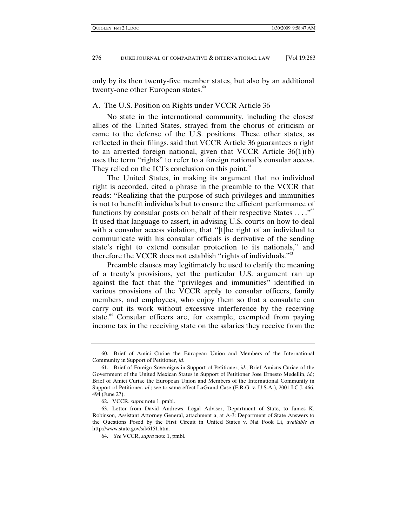only by its then twenty-five member states, but also by an additional twenty-one other European states.<sup>60</sup>

#### A. The U.S. Position on Rights under VCCR Article 36

No state in the international community, including the closest allies of the United States, strayed from the chorus of criticism or came to the defense of the U.S. positions. These other states, as reflected in their filings, said that VCCR Article 36 guarantees a right to an arrested foreign national, given that VCCR Article 36(1)(b) uses the term "rights" to refer to a foreign national's consular access. They relied on the ICJ's conclusion on this point. $61$ 

The United States, in making its argument that no individual right is accorded, cited a phrase in the preamble to the VCCR that reads: "Realizing that the purpose of such privileges and immunities is not to benefit individuals but to ensure the efficient performance of functions by consular posts on behalf of their respective States  $\dots$ ."<sup>62</sup> It used that language to assert, in advising U.S. courts on how to deal with a consular access violation, that "[t]he right of an individual to communicate with his consular officials is derivative of the sending state's right to extend consular protection to its nationals," and therefore the VCCR does not establish "rights of individuals."<sup>63</sup>

Preamble clauses may legitimately be used to clarify the meaning of a treaty's provisions, yet the particular U.S. argument ran up against the fact that the "privileges and immunities" identified in various provisions of the VCCR apply to consular officers, family members, and employees, who enjoy them so that a consulate can carry out its work without excessive interference by the receiving state. $^{64}$  Consular officers are, for example, exempted from paying income tax in the receiving state on the salaries they receive from the

 <sup>60.</sup> Brief of Amici Curiae the European Union and Members of the International Community in Support of Petitioner, *id*.

 <sup>61.</sup> Brief of Foreign Sovereigns in Support of Petitioner, *id.*; Brief Amicus Curiae of the Government of the United Mexican States in Support of Petitioner Jose Ernesto Medellin, *id.*; Brief of Amici Curiae the European Union and Members of the International Community in Support of Petitioner, *id*.; see to same effect LaGrand Case (F.R.G. v. U.S.A.), 2001 I.C.J. 466, 494 (June 27).

 <sup>62.</sup> VCCR, *supra* note 1, pmbl.

 <sup>63.</sup> Letter from David Andrews, Legal Adviser, Department of State, to James K. Robinson, Assistant Attorney General, attachment a, at A-3: Department of State Answers to the Questions Posed by the First Circuit in United States v. Nai Fook Li, *available at* http://www.state.gov/s/l/6151.htm.

 <sup>64.</sup> *See* VCCR, *supra* note 1, pmbl.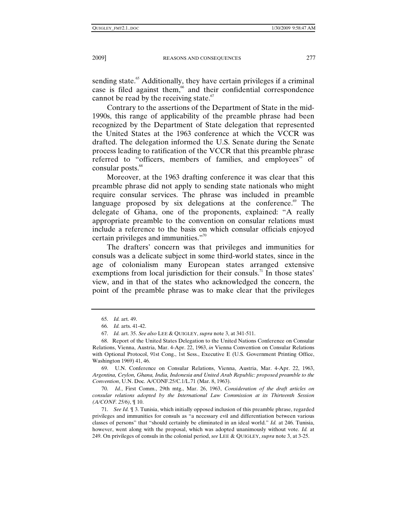sending state. $65$  Additionally, they have certain privileges if a criminal case is filed against them, $66$  and their confidential correspondence cannot be read by the receiving state.<sup>67</sup>

Contrary to the assertions of the Department of State in the mid-1990s, this range of applicability of the preamble phrase had been recognized by the Department of State delegation that represented the United States at the 1963 conference at which the VCCR was drafted. The delegation informed the U.S. Senate during the Senate process leading to ratification of the VCCR that this preamble phrase referred to "officers, members of families, and employees" of consular posts.<sup>68</sup>

Moreover, at the 1963 drafting conference it was clear that this preamble phrase did not apply to sending state nationals who might require consular services. The phrase was included in preamble language proposed by six delegations at the conference.<sup>69</sup> The delegate of Ghana, one of the proponents, explained: "A really appropriate preamble to the convention on consular relations must include a reference to the basis on which consular officials enjoyed certain privileges and immunities. $\mathcal{C}^{\prime\prime}$ 

The drafters' concern was that privileges and immunities for consuls was a delicate subject in some third-world states, since in the age of colonialism many European states arranged extensive exemptions from local jurisdiction for their consuls.<sup>71</sup> In those states' view, and in that of the states who acknowledged the concern, the point of the preamble phrase was to make clear that the privileges

 69. U.N. Conference on Consular Relations, Vienna, Austria, Mar. 4-Apr. 22, 1963, *Argentina, Ceylon, Ghana, India, Indonesia and United Arab Republic: proposed preamble to the Convention*, U.N. Doc. A/CONF.25/C.1/L.71 (Mar. 8, 1963).

 70. *Id.*, First Comm., 29th mtg., Mar. 26, 1963, *Consideration of the draft articles on consular relations adopted by the International Law Commission at its Thirteenth Session (A/CONF. 25/6)*, ¶ 10.

 <sup>65.</sup> *Id.* art. 49.

 <sup>66.</sup> *Id.* arts. 41-42.

 <sup>67.</sup> *Id.* art. 35. *See also* LEE & QUIGLEY, *supra* note 3, at 341-511.

 <sup>68.</sup> Report of the United States Delegation to the United Nations Conference on Consular Relations, Vienna, Austria, Mar. 4-Apr. 22, 1963, *in* Vienna Convention on Consular Relations with Optional Protocol, 91st Cong., 1st Sess., Executive E (U.S. Government Printing Office, Washington 1969) 41, 46.

 <sup>71.</sup> *See Id.* ¶ 3. Tunisia, which initially opposed inclusion of this preamble phrase, regarded privileges and immunities for consuls as "a necessary evil and differentiation between various classes of persons" that "should certainly be eliminated in an ideal world." *Id.* at 246. Tunisia, however, went along with the proposal, which was adopted unanimously without vote. *Id.* at 249. On privileges of consuls in the colonial period, *see* LEE & QUIGLEY, *supra* note 3, at 3-25.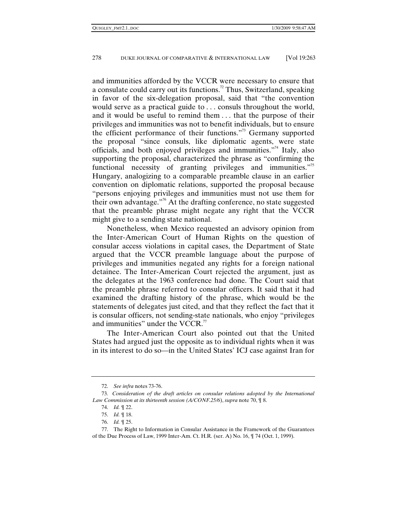and immunities afforded by the VCCR were necessary to ensure that a consulate could carry out its functions.<sup>72</sup> Thus, Switzerland, speaking in favor of the six-delegation proposal, said that "the convention would serve as a practical guide to . . . consuls throughout the world, and it would be useful to remind them . . . that the purpose of their privileges and immunities was not to benefit individuals, but to ensure the efficient performance of their functions."73 Germany supported the proposal "since consuls, like diplomatic agents, were state officials, and both enjoyed privileges and immunities."74 Italy, also supporting the proposal, characterized the phrase as "confirming the functional necessity of granting privileges and immunities."<sup>5</sup> Hungary, analogizing to a comparable preamble clause in an earlier convention on diplomatic relations, supported the proposal because "persons enjoying privileges and immunities must not use them for their own advantage. $176$  At the drafting conference, no state suggested that the preamble phrase might negate any right that the VCCR might give to a sending state national.

Nonetheless, when Mexico requested an advisory opinion from the Inter-American Court of Human Rights on the question of consular access violations in capital cases, the Department of State argued that the VCCR preamble language about the purpose of privileges and immunities negated any rights for a foreign national detainee. The Inter-American Court rejected the argument, just as the delegates at the 1963 conference had done. The Court said that the preamble phrase referred to consular officers. It said that it had examined the drafting history of the phrase, which would be the statements of delegates just cited, and that they reflect the fact that it is consular officers, not sending-state nationals, who enjoy "privileges and immunities" under the VCCR.<sup>77</sup>

The Inter-American Court also pointed out that the United States had argued just the opposite as to individual rights when it was in its interest to do so—in the United States' ICJ case against Iran for

 <sup>72.</sup> *See infra* notes 73-76.

<sup>73</sup>*. Consideration of the draft articles on consular relations adopted by the International Law Commission at its thirteenth session (A/CONF.25/6*), *supra* note 70, ¶ 8.

 <sup>74.</sup> *Id.* ¶ 22.

 <sup>75.</sup> *Id.* ¶ 18.

 <sup>76.</sup> *Id.* ¶ 25.

 <sup>77.</sup> The Right to Information in Consular Assistance in the Framework of the Guarantees of the Due Process of Law, 1999 Inter-Am. Ct. H.R. (ser. A) No. 16, ¶ 74 (Oct. 1, 1999).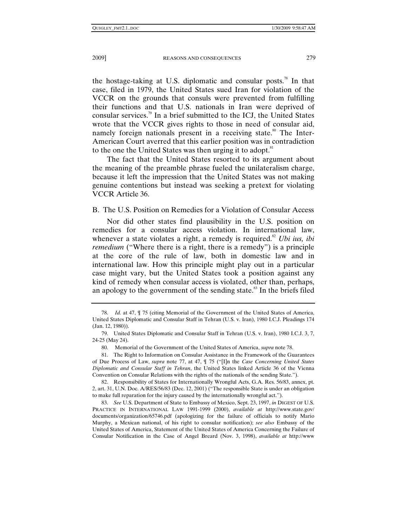the hostage-taking at U.S. diplomatic and consular posts.<sup>78</sup> In that case, filed in 1979, the United States sued Iran for violation of the VCCR on the grounds that consuls were prevented from fulfilling their functions and that U.S. nationals in Iran were deprived of consular services.79 In a brief submitted to the ICJ, the United States wrote that the VCCR gives rights to those in need of consular aid, namely foreign nationals present in a receiving state.<sup>80</sup> The Inter-American Court averred that this earlier position was in contradiction to the one the United States was then urging it to adopt.<sup>81</sup>

The fact that the United States resorted to its argument about the meaning of the preamble phrase fueled the unilateralism charge, because it left the impression that the United States was not making genuine contentions but instead was seeking a pretext for violating VCCR Article 36.

## B. The U.S. Position on Remedies for a Violation of Consular Access

Nor did other states find plausibility in the U.S. position on remedies for a consular access violation. In international law, whenever a state violates a right, a remedy is required.<sup>82</sup> *Ubi ius, ibi remedium* ("Where there is a right, there is a remedy") is a principle at the core of the rule of law, both in domestic law and in international law. How this principle might play out in a particular case might vary, but the United States took a position against any kind of remedy when consular access is violated, other than, perhaps, an apology to the government of the sending state.<sup>83</sup> In the briefs filed

 <sup>78.</sup> *Id.* at 47, ¶ 75 (citing Memorial of the Government of the United States of America, United States Diplomatic and Consular Staff in Tehran (U.S. v. Iran), 1980 I.C.J. Pleadings 174 (Jan. 12, 1980)).

 <sup>79.</sup> United States Diplomatic and Consular Staff in Tehran (U.S. v. Iran), 1980 I.C.J. 3, 7, 24-25 (May 24).

 <sup>80.</sup> Memorial of the Government of the United States of America, *supra* note 78.

 <sup>81.</sup> The Right to Information on Consular Assistance in the Framework of the Guarantees of Due Process of Law, *supra* note 77, at 47, ¶ 75 ("[I]n the *Case Concerning United States Diplomatic and Consular Staff in Tehran*, the United States linked Article 36 of the Vienna Convention on Consular Relations with the rights of the nationals of the sending State.").

 <sup>82.</sup> Responsibility of States for Internationally Wrongful Acts, G.A. Res. 56/83, annex, pt. 2, art. 31, U.N. Doc. A/RES/56/83 (Dec. 12, 2001) ("The responsible State is under an obligation to make full reparation for the injury caused by the internationally wrongful act.").

 <sup>83.</sup> *See* U.S. Department of State to Embassy of Mexico, Sept. 23, 1997, *in* DIGEST OF U.S. PRACTICE IN INTERNATIONAL LAW 1991-1999 (2000), *available at* http://www.state.gov/ documents/organization/65746.pdf (apologizing for the failure of officials to notify Mario Murphy, a Mexican national, of his right to consular notification); *see also* Embassy of the United States of America, Statement of the United States of America Concerning the Failure of Consular Notification in the Case of Angel Breard (Nov. 3, 1998), *available at* http://www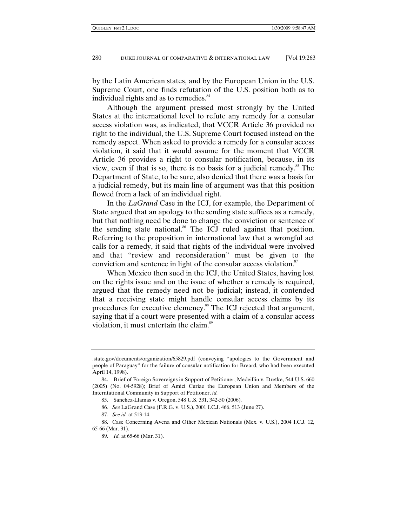by the Latin American states, and by the European Union in the U.S. Supreme Court, one finds refutation of the U.S. position both as to individual rights and as to remedies.<sup>84</sup>

Although the argument pressed most strongly by the United States at the international level to refute any remedy for a consular access violation was, as indicated, that VCCR Article 36 provided no right to the individual, the U.S. Supreme Court focused instead on the remedy aspect. When asked to provide a remedy for a consular access violation, it said that it would assume for the moment that VCCR Article 36 provides a right to consular notification, because, in its view, even if that is so, there is no basis for a judicial remedy. $\degree$  The Department of State, to be sure, also denied that there was a basis for a judicial remedy, but its main line of argument was that this position flowed from a lack of an individual right.

In the *LaGrand* Case in the ICJ, for example, the Department of State argued that an apology to the sending state suffices as a remedy, but that nothing need be done to change the conviction or sentence of the sending state national.<sup>86</sup> The ICJ ruled against that position. Referring to the proposition in international law that a wrongful act calls for a remedy, it said that rights of the individual were involved and that "review and reconsideration" must be given to the conviction and sentence in light of the consular access violation.<sup>87</sup>

When Mexico then sued in the ICJ, the United States, having lost on the rights issue and on the issue of whether a remedy is required, argued that the remedy need not be judicial; instead, it contended that a receiving state might handle consular access claims by its procedures for executive clemency.88 The ICJ rejected that argument, saying that if a court were presented with a claim of a consular access violation, it must entertain the claim.<sup>89</sup>

<sup>.</sup>state.gov/documents/organization/65829.pdf (conveying "apologies to the Government and people of Paraguay" for the failure of consular notification for Breard, who had been executed April 14, 1998).

 <sup>84.</sup> Brief of Foreign Sovereigns in Support of Petitioner, Medeillin v. Dretke, 544 U.S. 660 (2005) (No. 04-5928); Brief of Amici Curiae the European Union and Members of the Interntational Community in Support of Petitioner, *id.*

 <sup>85.</sup> Sanchez-Llamas v. Oregon, 548 U.S. 331, 342-50 (2006).

<sup>86</sup>*. See* LaGrand Case (F.R.G. v. U.S.), 2001 I.C.J. 466, 513 (June 27).

<sup>87</sup>*. See id.* at 513-14.

 <sup>88.</sup> Case Concerning Avena and Other Mexican Nationals (Mex. v. U.S.), 2004 I.C.J. 12, 65-66 (Mar. 31).

 <sup>89.</sup> *Id.* at 65-66 (Mar. 31).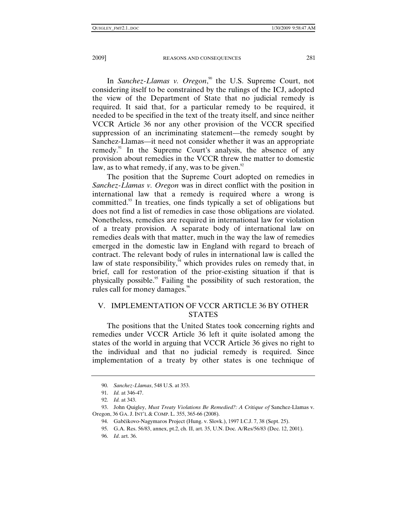In *Sanchez-Llamas v. Oregon*,<sup>90</sup> the U.S. Supreme Court, not considering itself to be constrained by the rulings of the ICJ, adopted the view of the Department of State that no judicial remedy is required. It said that, for a particular remedy to be required, it needed to be specified in the text of the treaty itself, and since neither VCCR Article 36 nor any other provision of the VCCR specified suppression of an incriminating statement—the remedy sought by Sanchez-Llamas—it need not consider whether it was an appropriate remedy.<sup>91</sup> In the Supreme Court's analysis, the absence of any provision about remedies in the VCCR threw the matter to domestic law, as to what remedy, if any, was to be given. $92$ 

The position that the Supreme Court adopted on remedies in *Sanchez-Llamas v. Oregon* was in direct conflict with the position in international law that a remedy is required where a wrong is committed.<sup>93</sup> In treaties, one finds typically a set of obligations but does not find a list of remedies in case those obligations are violated. Nonetheless, remedies are required in international law for violation of a treaty provision. A separate body of international law on remedies deals with that matter, much in the way the law of remedies emerged in the domestic law in England with regard to breach of contract. The relevant body of rules in international law is called the law of state responsibility, $94$  which provides rules on remedy that, in brief, call for restoration of the prior-existing situation if that is physically possible.<sup>95</sup> Failing the possibility of such restoration, the rules call for money damages.<sup>96</sup>

# V. IMPLEMENTATION OF VCCR ARTICLE 36 BY OTHER STATES

The positions that the United States took concerning rights and remedies under VCCR Article 36 left it quite isolated among the states of the world in arguing that VCCR Article 36 gives no right to the individual and that no judicial remedy is required. Since implementation of a treaty by other states is one technique of

 <sup>90.</sup> *Sanchez-Llamas*, 548 U.S. at 353.

 <sup>91.</sup> *Id.* at 346-47.

 <sup>92.</sup> *Id.* at 343.

 <sup>93.</sup> John Quigley, *Must Treaty Violations Be Remedied?: A Critique of* Sanchez-Llamas v. Oregon, 36 GA. J. INT'L & COMP. L. 355, 365-66 (2008).

 <sup>94.</sup> Gabčikovo-Nagymaros Project (Hung. v. Slovk.), 1997 I.C.J. 7, 38 (Sept. 25).

 <sup>95.</sup> G.A. Res. 56/83, annex, pt.2, ch. II, art. 35, U.N. Doc. A/Res/56/83 (Dec. 12, 2001).

 <sup>96.</sup> *Id*. art. 36.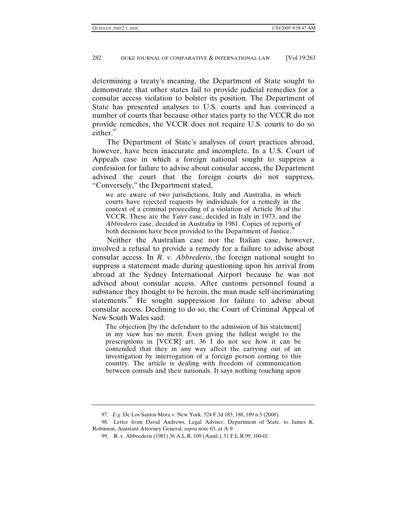determining a treaty's meaning, the Department of State sought to demonstrate that other states fail to provide judicial remedies for a consular access violation to bolster its position. The Department of State has presented analyses to U.S. courts and has convinced a number of courts that because other states party to the VCCR do not provide remedies, the VCCR does not require U.S. courts to do so either. $97$ 

The Department of State's analyses of court practices abroad, however, have been inaccurate and incomplete. In a U.S. Court of Appeals case in which a foreign national sought to suppress a confession for failure to advise about consular access, the Department advised the court that the foreign courts do not suppress. "Conversely," the Department stated,

we are aware of two jurisdictions, Italy and Australia, in which courts have rejected requests by individuals for a remedy in the context of a criminal proceeding of a violation of Article 36 of the VCCR. These are the *Yater* case, decided in Italy in 1973, and the *Abbrederis* case, decided in Australia in 1981. Copies of reports of both decisions have been provided to the Department of Justice.<sup>98</sup>

Neither the Australian case nor the Italian case, however, involved a refusal to provide a remedy for a failure to advise about consular access. In *R. v. Abbrederis*, the foreign national sought to suppress a statement made during questioning upon his arrival from abroad at the Sydney International Airport because he was not advised about consular access. After customs personnel found a substance they thought to be heroin, the man made self-incriminating statements.<sup>99</sup> He sought suppression for failure to advise about consular access. Declining to do so, the Court of Criminal Appeal of New South Wales said:

The objection [by the defendant to the admission of his statement] in my view has no merit. Even giving the fullest weight to the prescriptions in [VCCR] art. 36 I do not see how it can be contended that they in any way affect the carrying out of an investigation by interrogation of a foreign person coming to this country. The article is dealing with freedom of communication between consuls and their nationals. It says nothing touching upon

<sup>97</sup>*. E.g.* De Los Santos Mora v. New York, 524 F.3d 183, 188, 189 n.5 (2008).

 <sup>98.</sup> Letter from David Andrews, Legal Adviser, Department of State, to James K. Robinson, Assistant Attorney General, *supra* note 63, at A-9.

 <sup>99.</sup> R. v. Abbrederis (1981) 36 A.L.R. 109 (Austl.), 51 F.L.R 99, 100-01.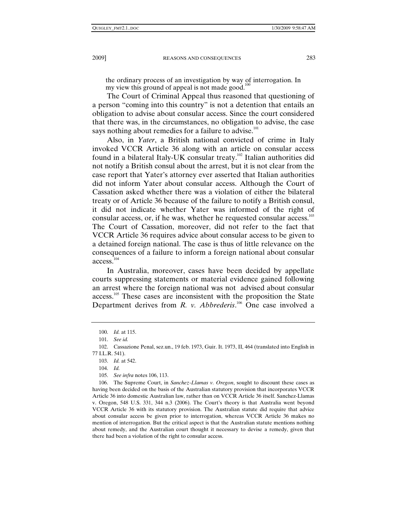the ordinary process of an investigation by way of interrogation. In my view this ground of appeal is not made good. $\overline{1}$ 

The Court of Criminal Appeal thus reasoned that questioning of a person "coming into this country" is not a detention that entails an obligation to advise about consular access. Since the court considered that there was, in the circumstances, no obligation to advise, the case says nothing about remedies for a failure to advise.<sup>101</sup>

Also, in *Yater*, a British national convicted of crime in Italy invoked VCCR Article 36 along with an article on consular access found in a bilateral Italy-UK consular treaty.<sup>102</sup> Italian authorities did not notify a British consul about the arrest, but it is not clear from the case report that Yater's attorney ever asserted that Italian authorities did not inform Yater about consular access. Although the Court of Cassation asked whether there was a violation of either the bilateral treaty or of Article 36 because of the failure to notify a British consul, it did not indicate whether Yater was informed of the right of consular access, or, if he was, whether he requested consular access.<sup>103</sup> The Court of Cassation, moreover, did not refer to the fact that VCCR Article 36 requires advice about consular access to be given to a detained foreign national. The case is thus of little relevance on the consequences of a failure to inform a foreign national about consular access.<sup>104</sup>

In Australia, moreover, cases have been decided by appellate courts suppressing statements or material evidence gained following an arrest where the foreign national was not advised about consular  $access$ <sup>105</sup>. These cases are inconsistent with the proposition the State Department derives from *R. v. Abbrederis*.<sup>106</sup> One case involved a

 <sup>100.</sup> *Id.* at 115.

 <sup>101.</sup> *See id.*

 <sup>102.</sup> Cassazione Penal, sez.un., 19 feb. 1973, Guir. It. 1973, II, 464 (translated into English in 77 I.L.R. 541).

 <sup>103.</sup> *Id.* at 542.

 <sup>104.</sup> *Id.*

 <sup>105.</sup> *See infra* notes 106, 113.

 <sup>106.</sup> The Supreme Court, in *Sanchez-Llamas v. Oregon*, sought to discount these cases as having been decided on the basis of the Australian statutory provision that incorporates VCCR Article 36 into domestic Australian law, rather than on VCCR Article 36 itself. Sanchez-Llamas v. Oregon, 548 U.S. 331, 344 n.3 (2006). The Court's theory is that Australia went beyond VCCR Article 36 with its statutory provision. The Australian statute did require that advice about consular access be given prior to interrogation, whereas VCCR Article 36 makes no mention of interrogation. But the critical aspect is that the Australian statute mentions nothing about remedy, and the Australian court thought it necessary to devise a remedy, given that there had been a violation of the right to consular access.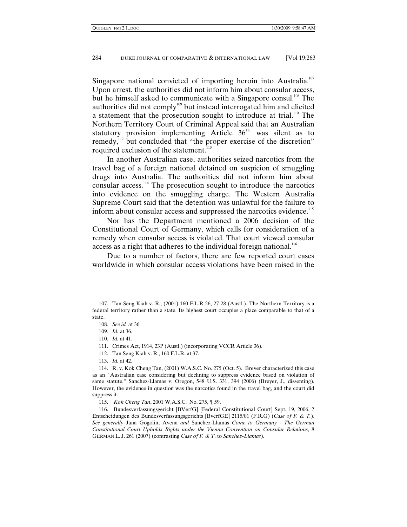Singapore national convicted of importing heroin into Australia.<sup>107</sup> Upon arrest, the authorities did not inform him about consular access, but he himself asked to communicate with a Singapore consul.<sup>108</sup> The authorities did not comply $109$  but instead interrogated him and elicited a statement that the prosecution sought to introduce at trial.<sup>110</sup> The Northern Territory Court of Criminal Appeal said that an Australian statutory provision implementing Article  $36<sup>111</sup>$  was silent as to remedy,<sup>112</sup> but concluded that "the proper exercise of the discretion" required exclusion of the statement.<sup>1</sup>

In another Australian case, authorities seized narcotics from the travel bag of a foreign national detained on suspicion of smuggling drugs into Australia. The authorities did not inform him about consular access.<sup>114</sup> The prosecution sought to introduce the narcotics into evidence on the smuggling charge. The Western Australia Supreme Court said that the detention was unlawful for the failure to inform about consular access and suppressed the narcotics evidence.<sup>115</sup>

Nor has the Department mentioned a 2006 decision of the Constitutional Court of Germany, which calls for consideration of a remedy when consular access is violated. That court viewed consular access as a right that adheres to the individual foreign national.<sup>116</sup>

Due to a number of factors, there are few reported court cases worldwide in which consular access violations have been raised in the

- 112. Tan Seng Kiah v. R., 160 F.L.R. at 37.
- 113. *Id.* at 42.

 <sup>107.</sup> Tan Seng Kiah v. R*.*, (2001) 160 F.L.R 26, 27-28 (Austl.). The Northern Territory is a federal territory rather than a state. Its highest court occupies a place comparable to that of a state.

<sup>108</sup>*. See id.* at 36.

<sup>109</sup>*. Id.* at 36.

 <sup>110.</sup> *Id.* at 41.

 <sup>111.</sup> Crimes Act, 1914, 23P (Austl.) (incorporating VCCR Article 36).

 <sup>114.</sup> R. v. Kok Cheng Tan, (2001) W.A.S.C. No. 275 (Oct. 5). Breyer characterized this case as an "Australian case considering but declining to suppress evidence based on violation of same statute." Sanchez-Llamas v. Oregon, 548 U.S. 331, 394 (2006) (Breyer, J., dissenting). However, the evidence in question was the narcotics found in the travel bag, and the court did suppress it.

 <sup>115.</sup> *Kok Cheng Tan*, 2001 W.A.S.C. No. 275, ¶ 59.

 <sup>116.</sup> Bundesverfassungsgericht [BVerfG] [Federal Constitutional Court] Sept. 19, 2006, 2 Entscheidungen des Bundesverfassungsgerichts [BverfGE] 2115/01 (F.R.G) (*Case of F. & T.*). *See generally* Jana Gogolin, Avena *and* Sanchez-Llamas *Come to Germany - The German Constitutional Court Upholds Rights under the Vienna Convention on Consular Relations*, 8 GERMAN L. J. 261 (2007) (contrasting *Case of F. & T*. to *Sanchez-Llamas*).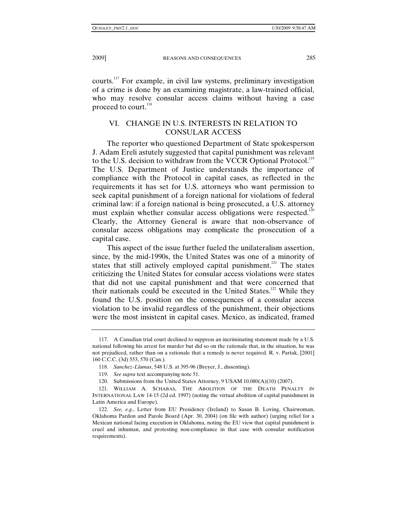courts.117 For example, in civil law systems, preliminary investigation of a crime is done by an examining magistrate, a law-trained official, who may resolve consular access claims without having a case proceed to court.<sup>118</sup>

# VI. CHANGE IN U.S. INTERESTS IN RELATION TO CONSULAR ACCESS

The reporter who questioned Department of State spokesperson J. Adam Ereli astutely suggested that capital punishment was relevant to the U.S. decision to withdraw from the VCCR Optional Protocol.<sup>119</sup> The U.S. Department of Justice understands the importance of compliance with the Protocol in capital cases, as reflected in the requirements it has set for U.S. attorneys who want permission to seek capital punishment of a foreign national for violations of federal criminal law: if a foreign national is being prosecuted, a U.S. attorney must explain whether consular access obligations were respected.<sup>120</sup> Clearly, the Attorney General is aware that non-observance of consular access obligations may complicate the prosecution of a capital case.

This aspect of the issue further fueled the unilateralism assertion, since, by the mid-1990s, the United States was one of a minority of states that still actively employed capital punishment.<sup>121</sup> The states criticizing the United States for consular access violations were states that did not use capital punishment and that were concerned that their nationals could be executed in the United States.<sup>122</sup> While they found the U.S. position on the consequences of a consular access violation to be invalid regardless of the punishment, their objections were the most insistent in capital cases. Mexico, as indicated, framed

 <sup>117.</sup> A Canadian trial court declined to suppress an incriminating statement made by a U.S. national following his arrest for murder but did so on the rationale that, in the situation, he was not prejudiced, rather than on a rationale that a remedy is never required. R. v. Partak, [2001] 160 C.C.C. (3d) 553, 570 (Can.).

 <sup>118.</sup> *Sanchez-Llamas*, 548 U.S. at 395-96 (Breyer, J., dissenting).

 <sup>119.</sup> *See supra* text accompanying note 51.

 <sup>120.</sup> Submissions from the United States Attorney, 9 USAM 10.080(A)(10) (2007).

 <sup>121.</sup> WILLIAM A. SCHABAS, THE ABOLITION OF THE DEATH PENALTY IN INTERNATIONAL LAW 14-15 (2d ed. 1997) (noting the virtual abolition of capital punishment in Latin America and Europe).

 <sup>122.</sup> *See, e.g.*, Letter from EU Presidency (Ireland) to Susan B. Loving, Chairwoman, Oklahoma Pardon and Parole Board (Apr. 30, 2004) (on file with author) (urging relief for a Mexican national facing execution in Oklahoma, noting the EU view that capital punishment is cruel and inhuman, and protesting non-compliance in that case with consular notification requirements).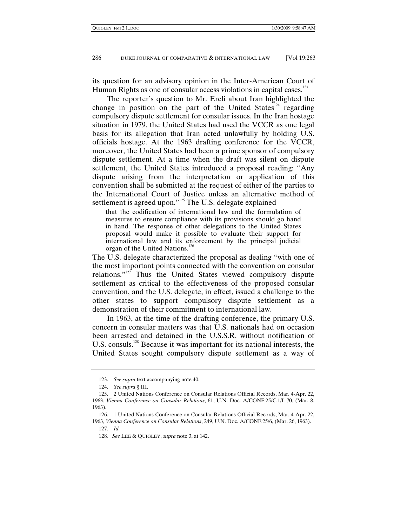its question for an advisory opinion in the Inter-American Court of Human Rights as one of consular access violations in capital cases. $123$ 

The reporter's question to Mr. Ereli about Iran highlighted the change in position on the part of the United States $124$  regarding compulsory dispute settlement for consular issues. In the Iran hostage situation in 1979, the United States had used the VCCR as one legal basis for its allegation that Iran acted unlawfully by holding U.S. officials hostage. At the 1963 drafting conference for the VCCR, moreover, the United States had been a prime sponsor of compulsory dispute settlement. At a time when the draft was silent on dispute settlement, the United States introduced a proposal reading: "Any dispute arising from the interpretation or application of this convention shall be submitted at the request of either of the parties to the International Court of Justice unless an alternative method of settlement is agreed upon."<sup>125</sup> The U.S. delegate explained

that the codification of international law and the formulation of measures to ensure compliance with its provisions should go hand in hand. The response of other delegations to the United States proposal would make it possible to evaluate their support for international law and its enforcement by the principal judicial organ of the United Nations.<sup>126</sup>

The U.S. delegate characterized the proposal as dealing "with one of the most important points connected with the convention on consular relations."<sup>127</sup> Thus the United States viewed compulsory dispute settlement as critical to the effectiveness of the proposed consular convention, and the U.S. delegate, in effect, issued a challenge to the other states to support compulsory dispute settlement as a demonstration of their commitment to international law.

In 1963, at the time of the drafting conference, the primary U.S. concern in consular matters was that U.S. nationals had on occasion been arrested and detained in the U.S.S.R. without notification of U.S. consuls.<sup>128</sup> Because it was important for its national interests, the United States sought compulsory dispute settlement as a way of

 <sup>123.</sup> *See supra* text accompanying note 40.

 <sup>124.</sup> *See supra* § III.

 <sup>125. 2</sup> United Nations Conference on Consular Relations Official Records, Mar. 4-Apr. 22, 1963, *Vienna Conference on Consular Relations*, 61, U.N. Doc. A/CONF.25/C.1/L.70, (Mar. 8, 1963).

 <sup>126. 1</sup> United Nations Conference on Consular Relations Official Records, Mar. 4-Apr. 22, 1963, *Vienna Conference on Consular Relations*, 249, U.N. Doc. A/CONF.25/6, (Mar. 26, 1963).

 <sup>127.</sup> *Id.*

<sup>128</sup>*. See* LEE & QUIGLEY, *supra* note 3, at 142.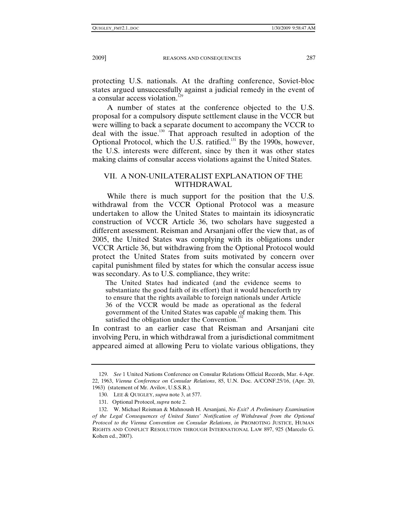protecting U.S. nationals. At the drafting conference, Soviet-bloc states argued unsuccessfully against a judicial remedy in the event of a consular access violation.<sup>12</sup>

A number of states at the conference objected to the U.S. proposal for a compulsory dispute settlement clause in the VCCR but were willing to back a separate document to accompany the VCCR to deal with the issue.130 That approach resulted in adoption of the Optional Protocol, which the U.S. ratified.<sup>131</sup> By the 1990s, however, the U.S. interests were different, since by then it was other states making claims of consular access violations against the United States.

## VII. A NON-UNILATERALIST EXPLANATION OF THE WITHDRAWAL

While there is much support for the position that the U.S. withdrawal from the VCCR Optional Protocol was a measure undertaken to allow the United States to maintain its idiosyncratic construction of VCCR Article 36, two scholars have suggested a different assessment. Reisman and Arsanjani offer the view that, as of 2005, the United States was complying with its obligations under VCCR Article 36, but withdrawing from the Optional Protocol would protect the United States from suits motivated by concern over capital punishment filed by states for which the consular access issue was secondary. As to U.S. compliance, they write:

The United States had indicated (and the evidence seems to substantiate the good faith of its effort) that it would henceforth try to ensure that the rights available to foreign nationals under Article 36 of the VCCR would be made as operational as the federal government of the United States was capable of making them. This satisfied the obligation under the Convention. $132$ 

In contrast to an earlier case that Reisman and Arsanjani cite involving Peru, in which withdrawal from a jurisdictional commitment appeared aimed at allowing Peru to violate various obligations, they

 <sup>129.</sup> *See* 1 United Nations Conference on Consular Relations Official Records, Mar. 4-Apr. 22, 1963, *Vienna Conference on Consular Relations*, 85, U.N. Doc. A/CONF.25/16, (Apr. 20, 1963) (statement of Mr. Avilov, U.S.S.R.).

 <sup>130.</sup> LEE & QUIGLEY, *supra* note 3, at 577.

 <sup>131.</sup> Optional Protocol, *supra* note 2.

 <sup>132.</sup> W. Michael Reisman & Mahnoush H. Arsanjani, *No Exit? A Preliminary Examination of the Legal Consequences of United States' Notification of Withdrawal from the Optional Protocol to the Vienna Convention on Consular Relations*, *in* PROMOTING JUSTICE, HUMAN RIGHTS AND CONFLICT RESOLUTION THROUGH INTERNATIONAL LAW 897, 925 (Marcelo G. Kohen ed., 2007).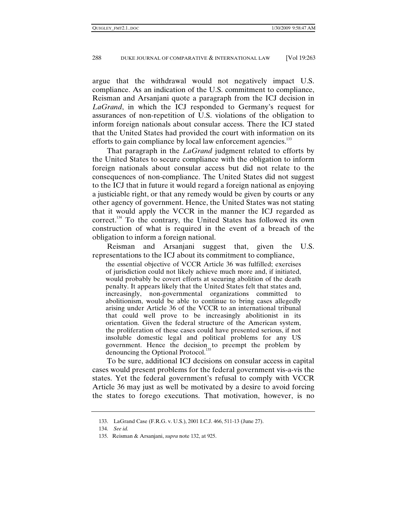argue that the withdrawal would not negatively impact U.S. compliance. As an indication of the U.S. commitment to compliance, Reisman and Arsanjani quote a paragraph from the ICJ decision in *LaGrand*, in which the ICJ responded to Germany's request for assurances of non-repetition of U.S. violations of the obligation to inform foreign nationals about consular access. There the ICJ stated that the United States had provided the court with information on its efforts to gain compliance by local law enforcement agencies.<sup>133</sup>

That paragraph in the *LaGrand* judgment related to efforts by the United States to secure compliance with the obligation to inform foreign nationals about consular access but did not relate to the consequences of non-compliance. The United States did not suggest to the ICJ that in future it would regard a foreign national as enjoying a justiciable right, or that any remedy would be given by courts or any other agency of government. Hence, the United States was not stating that it would apply the VCCR in the manner the ICJ regarded as correct.134 To the contrary, the United States has followed its own construction of what is required in the event of a breach of the obligation to inform a foreign national.

Reisman and Arsanjani suggest that, given the U.S. representations to the ICJ about its commitment to compliance,

the essential objective of VCCR Article 36 was fulfilled; exercises of jurisdiction could not likely achieve much more and, if initiated, would probably be covert efforts at securing abolition of the death penalty. It appears likely that the United States felt that states and, increasingly, non-governmental organizations committed to abolitionism, would be able to continue to bring cases allegedly arising under Article 36 of the VCCR to an international tribunal that could well prove to be increasingly abolitionist in its orientation. Given the federal structure of the American system, the proliferation of these cases could have presented serious, if not insoluble domestic legal and political problems for any US government. Hence the decision to preempt the problem by denouncing the Optional Protocol.<sup>135</sup>

To be sure, additional ICJ decisions on consular access in capital cases would present problems for the federal government vis-a-vis the states. Yet the federal government's refusal to comply with VCCR Article 36 may just as well be motivated by a desire to avoid forcing the states to forego executions. That motivation, however, is no

 <sup>133.</sup> LaGrand Case (F.R.G. v. U.S.), 2001 I.C.J. 466, 511-13 (June 27).

 <sup>134.</sup> *See id.*

 <sup>135.</sup> Reisman & Arsanjani, *supra* note 132, at 925.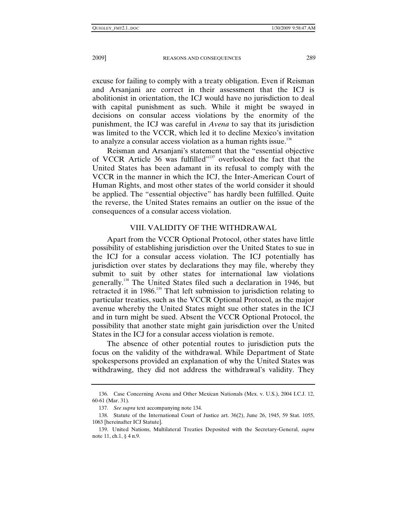2009] REASONS AND CONSEQUENCES 289

excuse for failing to comply with a treaty obligation. Even if Reisman and Arsanjani are correct in their assessment that the ICJ is abolitionist in orientation, the ICJ would have no jurisdiction to deal with capital punishment as such. While it might be swayed in decisions on consular access violations by the enormity of the punishment, the ICJ was careful in *Avena* to say that its jurisdiction was limited to the VCCR, which led it to decline Mexico's invitation to analyze a consular access violation as a human rights issue.<sup>136</sup>

Reisman and Arsanjani's statement that the "essential objective of VCCR Article 36 was fulfilled"<sup>137</sup> overlooked the fact that the United States has been adamant in its refusal to comply with the VCCR in the manner in which the ICJ, the Inter-American Court of Human Rights, and most other states of the world consider it should be applied. The "essential objective" has hardly been fulfilled. Quite the reverse, the United States remains an outlier on the issue of the consequences of a consular access violation.

#### VIII. VALIDITY OF THE WITHDRAWAL

Apart from the VCCR Optional Protocol, other states have little possibility of establishing jurisdiction over the United States to sue in the ICJ for a consular access violation. The ICJ potentially has jurisdiction over states by declarations they may file, whereby they submit to suit by other states for international law violations generally.138 The United States filed such a declaration in 1946, but retracted it in 1986.<sup>139</sup> That left submission to jurisdiction relating to particular treaties, such as the VCCR Optional Protocol, as the major avenue whereby the United States might sue other states in the ICJ and in turn might be sued. Absent the VCCR Optional Protocol, the possibility that another state might gain jurisdiction over the United States in the ICJ for a consular access violation is remote.

The absence of other potential routes to jurisdiction puts the focus on the validity of the withdrawal. While Department of State spokespersons provided an explanation of why the United States was withdrawing, they did not address the withdrawal's validity. They

 <sup>136.</sup> Case Concerning Avena and Other Mexican Nationals (Mex. v. U.S.), 2004 I.C.J. 12, 60-61 (Mar. 31).

 <sup>137.</sup> *See supra* text accompanying note 134.

 <sup>138.</sup> Statute of the International Court of Justice art. 36(2), June 26, 1945, 59 Stat. 1055, 1063 [hereinafter ICJ Statute].

 <sup>139.</sup> United Nations, Multilateral Treaties Deposited with the Secretary-General, *supra* note 11, ch.1, § 4 n.9.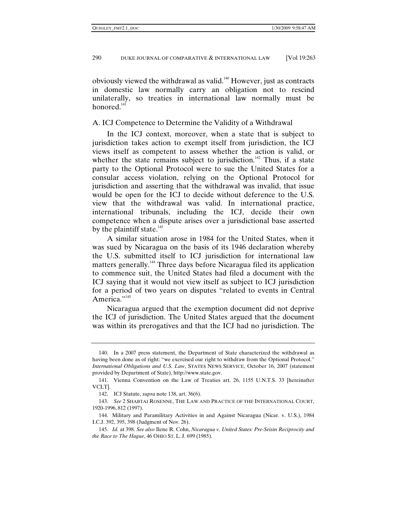obviously viewed the withdrawal as valid.<sup>140</sup> However, just as contracts in domestic law normally carry an obligation not to rescind unilaterally, so treaties in international law normally must be honored.<sup>141</sup>

A. ICJ Competence to Determine the Validity of a Withdrawal

In the ICJ context, moreover, when a state that is subject to jurisdiction takes action to exempt itself from jurisdiction, the ICJ views itself as competent to assess whether the action is valid, or whether the state remains subject to jurisdiction.<sup>142</sup> Thus, if a state party to the Optional Protocol were to sue the United States for a consular access violation, relying on the Optional Protocol for jurisdiction and asserting that the withdrawal was invalid, that issue would be open for the ICJ to decide without deference to the U.S. view that the withdrawal was valid. In international practice, international tribunals, including the ICJ, decide their own competence when a dispute arises over a jurisdictional base asserted by the plaintiff state. $143$ 

A similar situation arose in 1984 for the United States, when it was sued by Nicaragua on the basis of its 1946 declaration whereby the U.S. submitted itself to ICJ jurisdiction for international law matters generally.<sup>144</sup> Three days before Nicaragua filed its application to commence suit, the United States had filed a document with the ICJ saying that it would not view itself as subject to ICJ jurisdiction for a period of two years on disputes "related to events in Central America."<sup>145</sup>

Nicaragua argued that the exemption document did not deprive the ICJ of jurisdiction. The United States argued that the document was within its prerogatives and that the ICJ had no jurisdiction. The

 <sup>140.</sup> In a 2007 press statement, the Department of State characterized the withdrawal as having been done as of right: "we exercised our right to withdraw from the Optional Protocol." *International Obligations and U.S. Law*, STATES NEWS SERVICE, October 16, 2007 (statement provided by Department of State), http://www.state.gov.

 <sup>141.</sup> Vienna Convention on the Law of Treaties art. 26, 1155 U.N.T.S. 33 [hereinafter VCLT].

 <sup>142.</sup> ICJ Statute, *supra* note 138, art. 36(6).

 <sup>143.</sup> *See* 2 SHABTAI ROSENNE, THE LAW AND PRACTICE OF THE INTERNATIONAL COURT, 1920-1996, 812 (1997).

 <sup>144.</sup> Military and Paramilitary Activities in and Against Nicaragua (Nicar. v. U.S.), 1984 I.C.J. 392, 395, 398 (Judgment of Nov. 26).

<sup>145</sup>*. Id.* at 398. *See also* Ilene R. Cohn, *Nicaragua v. United States: Pre-Seisin Reciprocity and the Race to The Hague*, 46 OHIO ST. L. J. 699 (1985).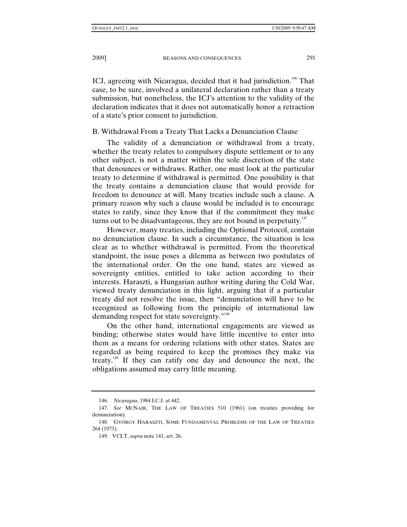ICJ, agreeing with Nicaragua, decided that it had jurisdiction.<sup>146</sup> That case, to be sure, involved a unilateral declaration rather than a treaty submission, but nonetheless, the ICJ's attention to the validity of the declaration indicates that it does not automatically honor a retraction of a state's prior consent to jurisdiction.

## B. Withdrawal From a Treaty That Lacks a Denunciation Clause

The validity of a denunciation or withdrawal from a treaty, whether the treaty relates to compulsory dispute settlement or to any other subject, is not a matter within the sole discretion of the state that denounces or withdraws. Rather, one must look at the particular treaty to determine if withdrawal is permitted. One possibility is that the treaty contains a denunciation clause that would provide for freedom to denounce at will. Many treaties include such a clause. A primary reason why such a clause would be included is to encourage states to ratify, since they know that if the commitment they make turns out to be disadvantageous, they are not bound in perpetuity. $147$ 

However, many treaties, including the Optional Protocol, contain no denunciation clause. In such a circumstance, the situation is less clear as to whether withdrawal is permitted. From the theoretical standpoint, the issue poses a dilemma as between two postulates of the international order. On the one hand, states are viewed as sovereignty entities, entitled to take action according to their interests. Haraszti, a Hungarian author writing during the Cold War, viewed treaty denunciation in this light, arguing that if a particular treaty did not resolve the issue, then "denunciation will have to be recognized as following from the principle of international law demanding respect for state sovereignty."<sup>148</sup>

On the other hand, international engagements are viewed as binding; otherwise states would have little incentive to enter into them as a means for ordering relations with other states. States are regarded as being required to keep the promises they make via treaty.149 If they can ratify one day and denounce the next, the obligations assumed may carry little meaning.

 <sup>146.</sup> *Nicaragua*, 1984 I.C.J. at 442.

 <sup>147.</sup> *See* MCNAIR, THE LAW OF TREATIES 510 (1961) (on treaties providing for denunciation).

 <sup>148.</sup> GYÖRGY HARASZTI, SOME FUNDAMENTAL PROBLEMS OF THE LAW OF TREATIES 264 (1973).

 <sup>149.</sup> VCLT, *supra* note 141, art. 26.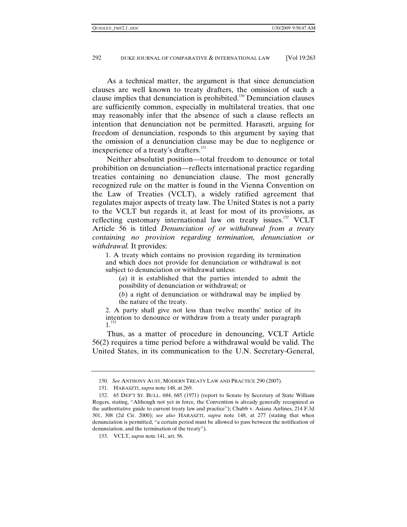As a technical matter, the argument is that since denunciation clauses are well known to treaty drafters, the omission of such a clause implies that denunciation is prohibited.<sup>150</sup> Denunciation clauses are sufficiently common, especially in multilateral treaties, that one may reasonably infer that the absence of such a clause reflects an intention that denunciation not be permitted. Haraszti, arguing for freedom of denunciation, responds to this argument by saying that the omission of a denunciation clause may be due to negligence or inexperience of a treaty's drafters.<sup>151</sup>

Neither absolutist position—total freedom to denounce or total prohibition on denunciation—reflects international practice regarding treaties containing no denunciation clause. The most generally recognized rule on the matter is found in the Vienna Convention on the Law of Treaties (VCLT), a widely ratified agreement that regulates major aspects of treaty law. The United States is not a party to the VCLT but regards it, at least for most of its provisions, as reflecting customary international law on treaty issues.<sup>152</sup> VCLT Article 56 is titled *Denunciation of or withdrawal from a treaty containing no provision regarding termination, denunciation or withdrawal.* It provides:

1. A treaty which contains no provision regarding its termination and which does not provide for denunciation or withdrawal is not subject to denunciation or withdrawal unless:

(*a*) it is established that the parties intended to admit the possibility of denunciation or withdrawal; or

(*b*) a right of denunciation or withdrawal may be implied by the nature of the treaty.

2. A party shall give not less than twelve months' notice of its intention to denounce or withdraw from a treaty under paragraph  $1^{153}$ 

Thus, as a matter of procedure in denouncing, VCLT Article 56(2) requires a time period before a withdrawal would be valid. The United States, in its communication to the U.N. Secretary-General,

<sup>150</sup>*. See* ANTHONY AUST, MODERN TREATY LAW AND PRACTICE 290 (2007).

 <sup>151.</sup> HARASZTI, *supra* note 148, at 269.

 <sup>152. 65</sup> DEP'T ST. BULL. 684, 685 (1971) (report to Senate by Secretary of State William Rogers, stating, "Although not yet in force, the Convention is already generally recognized as the authoritative guide to current treaty law and practice"); Chubb v. Asiana Airlines, 214 F.3d 301, 308 (2d Cir. 2000); *see also* HARASZTI, *supra* note 148, at 277 (stating that when denunciation is permitted, "a certain period must be allowed to pass between the notification of denunciation, and the termination of the treaty").

 <sup>153.</sup> VCLT, *supra* note 141, art. 56.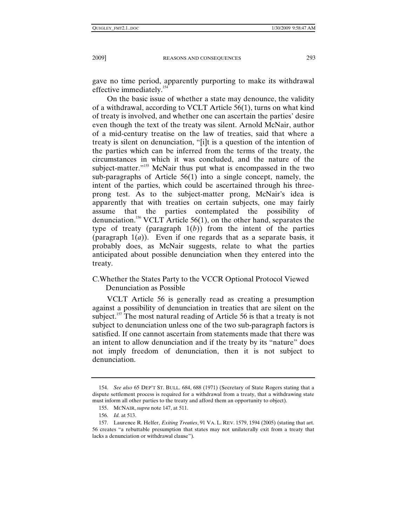gave no time period, apparently purporting to make its withdrawal effective immediately.<sup>154</sup>

On the basic issue of whether a state may denounce, the validity of a withdrawal, according to VCLT Article 56(1), turns on what kind of treaty is involved, and whether one can ascertain the parties' desire even though the text of the treaty was silent. Arnold McNair, author of a mid-century treatise on the law of treaties, said that where a treaty is silent on denunciation, "[i]t is a question of the intention of the parties which can be inferred from the terms of the treaty, the circumstances in which it was concluded, and the nature of the subject-matter."<sup>155</sup> McNair thus put what is encompassed in the two sub-paragraphs of Article 56(1) into a single concept, namely, the intent of the parties, which could be ascertained through his threeprong test. As to the subject-matter prong, McNair's idea is apparently that with treaties on certain subjects, one may fairly assume that the parties contemplated the possibility of denunciation.<sup>156</sup> VCLT Article 56(1), on the other hand, separates the type of treaty (paragraph 1(*b*)) from the intent of the parties (paragraph 1(*a*)). Even if one regards that as a separate basis, it probably does, as McNair suggests, relate to what the parties anticipated about possible denunciation when they entered into the treaty.

# C.Whether the States Party to the VCCR Optional Protocol Viewed Denunciation as Possible

VCLT Article 56 is generally read as creating a presumption against a possibility of denunciation in treaties that are silent on the subject.<sup>157</sup> The most natural reading of Article 56 is that a treaty is not subject to denunciation unless one of the two sub-paragraph factors is satisfied. If one cannot ascertain from statements made that there was an intent to allow denunciation and if the treaty by its "nature" does not imply freedom of denunciation, then it is not subject to denunciation.

 <sup>154.</sup> *See also* 65 DEP'T ST. BULL. 684, 688 (1971) (Secretary of State Rogers stating that a dispute settlement process is required for a withdrawal from a treaty, that a withdrawing state must inform all other parties to the treaty and afford them an opportunity to object).

 <sup>155.</sup> MCNAIR, *supra* note 147, at 511.

 <sup>156.</sup> *Id.* at 513.

 <sup>157.</sup> Laurence R. Helfer, *Exiting Treaties*, 91 VA. L. REV. 1579, 1594 (2005) (stating that art. 56 creates "a rebuttable presumption that states may not unilaterally exit from a treaty that lacks a denunciation or withdrawal clause").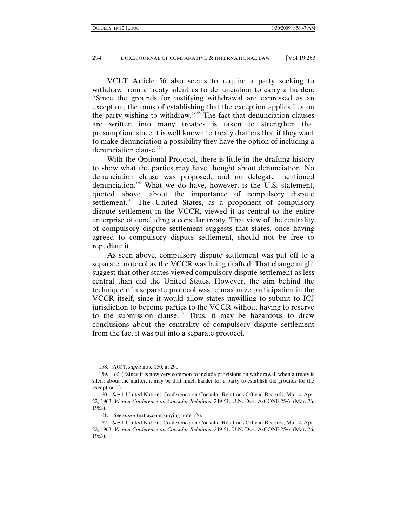VCLT Article 56 also seems to require a party seeking to withdraw from a treaty silent as to denunciation to carry a burden: "Since the grounds for justifying withdrawal are expressed as an exception, the onus of establishing that the exception applies lies on the party wishing to withdraw."158 The fact that denunciation clauses are written into many treaties is taken to strengthen that presumption, since it is well known to treaty drafters that if they want to make denunciation a possibility they have the option of including a denunciation clause.<sup>159</sup>

With the Optional Protocol, there is little in the drafting history to show what the parties may have thought about denunciation. No denunciation clause was proposed, and no delegate mentioned denunciation.<sup>160</sup> What we do have, however, is the U.S. statement, quoted above, about the importance of compulsory dispute settlement.<sup>161</sup> The United States, as a proponent of compulsory dispute settlement in the VCCR, viewed it as central to the entire enterprise of concluding a consular treaty. That view of the centrality of compulsory dispute settlement suggests that states, once having agreed to compulsory dispute settlement, should not be free to repudiate it.

As seen above, compulsory dispute settlement was put off to a separate protocol as the VCCR was being drafted. That change might suggest that other states viewed compulsory dispute settlement as less central than did the United States. However, the aim behind the technique of a separate protocol was to maximize participation in the VCCR itself, since it would allow states unwilling to submit to ICJ jurisdiction to become parties to the VCCR without having to reserve to the submission clause.<sup>162</sup> Thus, it may be hazardous to draw conclusions about the centrality of compulsory dispute settlement from the fact it was put into a separate protocol.

 <sup>158.</sup> AUST, *supra* note 150, at 290.

 <sup>159.</sup> *Id.* ("Since it is now very common to include provisions on withdrawal, when a treaty is silent about the matter, it may be that much harder for a party to establish the grounds for the exception.").

<sup>160</sup>*. See* 1 United Nations Conference on Consular Relations Official Records, Mar. 4-Apr. 22, 1963, *Vienna Conference on Consular Relations*, 249-51, U.N. Doc. A/CONF.25/6, (Mar. 26, 1963).

 <sup>161.</sup> *See supra* text accompanying note 126.

<sup>162</sup>*. See* 1 United Nations Conference on Consular Relations Official Records, Mar. 4-Apr. 22, 1963, *Vienna Conference on Consular Relations*, 249-51, U.N. Doc. A/CONF.25/6, (Mar. 26, 1963).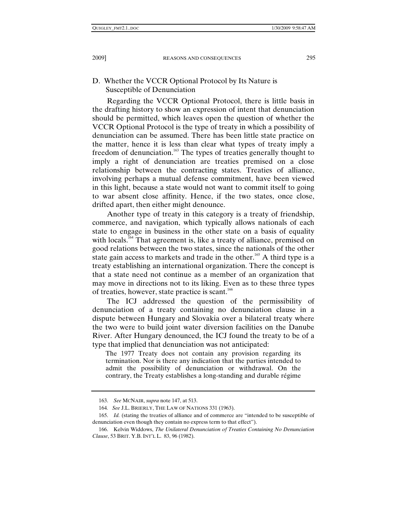D. Whether the VCCR Optional Protocol by Its Nature is Susceptible of Denunciation

Regarding the VCCR Optional Protocol, there is little basis in the drafting history to show an expression of intent that denunciation should be permitted, which leaves open the question of whether the VCCR Optional Protocol is the type of treaty in which a possibility of denunciation can be assumed. There has been little state practice on the matter, hence it is less than clear what types of treaty imply a freedom of denunciation.<sup>163</sup> The types of treaties generally thought to imply a right of denunciation are treaties premised on a close relationship between the contracting states. Treaties of alliance, involving perhaps a mutual defense commitment, have been viewed in this light, because a state would not want to commit itself to going to war absent close affinity. Hence, if the two states, once close, drifted apart, then either might denounce.

Another type of treaty in this category is a treaty of friendship, commerce, and navigation, which typically allows nationals of each state to engage in business in the other state on a basis of equality with locals.<sup>164</sup> That agreement is, like a treaty of alliance, premised on good relations between the two states, since the nationals of the other state gain access to markets and trade in the other.<sup>165</sup> A third type is a treaty establishing an international organization. There the concept is that a state need not continue as a member of an organization that may move in directions not to its liking. Even as to these three types of treaties, however, state practice is scant.<sup>166</sup>

The ICJ addressed the question of the permissibility of denunciation of a treaty containing no denunciation clause in a dispute between Hungary and Slovakia over a bilateral treaty where the two were to build joint water diversion facilities on the Danube River. After Hungary denounced, the ICJ found the treaty to be of a type that implied that denunciation was not anticipated:

The 1977 Treaty does not contain any provision regarding its termination. Nor is there any indication that the parties intended to admit the possibility of denunciation or withdrawal. On the contrary, the Treaty establishes a long-standing and durable régime

 <sup>163.</sup> *See* MCNAIR, *supra* note 147, at 513.

<sup>164</sup>*. See* J.L. BRIERLY, THE LAW OF NATIONS 331 (1963).

 <sup>165.</sup> *Id.* (stating the treaties of alliance and of commerce are "intended to be susceptible of denunciation even though they contain no express term to that effect").

 <sup>166.</sup> Kelvin Widdows, *The Unilateral Denunciation of Treaties Containing No Denunciation Clause*, 53 BRIT. Y.B. INT'L L. 83, 96 (1982).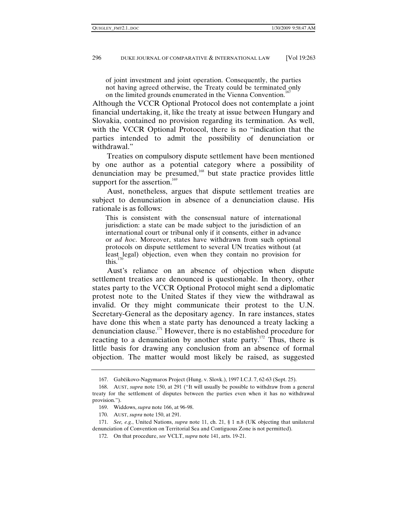of joint investment and joint operation. Consequently, the parties not having agreed otherwise, the Treaty could be terminated only on the limited grounds enumerated in the Vienna Convention.<sup>1</sup>

Although the VCCR Optional Protocol does not contemplate a joint financial undertaking, it, like the treaty at issue between Hungary and Slovakia, contained no provision regarding its termination. As well, with the VCCR Optional Protocol, there is no "indication that the parties intended to admit the possibility of denunciation or withdrawal."

Treaties on compulsory dispute settlement have been mentioned by one author as a potential category where a possibility of denunciation may be presumed,<sup>168</sup> but state practice provides little support for the assertion.<sup>169</sup>

Aust, nonetheless, argues that dispute settlement treaties are subject to denunciation in absence of a denunciation clause. His rationale is as follows:

This is consistent with the consensual nature of international jurisdiction: a state can be made subject to the jurisdiction of an international court or tribunal only if it consents, either in advance or *ad hoc*. Moreover, states have withdrawn from such optional protocols on dispute settlement to several UN treaties without (at least legal) objection, even when they contain no provision for this. $170$ 

Aust's reliance on an absence of objection when dispute settlement treaties are denounced is questionable. In theory, other states party to the VCCR Optional Protocol might send a diplomatic protest note to the United States if they view the withdrawal as invalid. Or they might communicate their protest to the U.N. Secretary-General as the depositary agency. In rare instances, states have done this when a state party has denounced a treaty lacking a denunciation clause.171 However, there is no established procedure for reacting to a denunciation by another state party.<sup>172</sup> Thus, there is little basis for drawing any conclusion from an absence of formal objection. The matter would most likely be raised, as suggested

 <sup>167.</sup> Gabčikovo-Nagymaros Project (Hung. v. Slovk.), 1997 I.C.J. 7, 62-63 (Sept. 25).

 <sup>168.</sup> AUST, *supra* note 150, at 291 ("It will usually be possible to withdraw from a general treaty for the settlement of disputes between the parties even when it has no withdrawal provision.").

 <sup>169.</sup> Widdows, *supra* note 166, at 96-98.

 <sup>170.</sup> AUST, *supra* note 150, at 291.

 <sup>171.</sup> *See, e.g.*, United Nations, *supra* note 11, ch. 21, § 1 n.8 (UK objecting that unilateral denunciation of Convention on Territorial Sea and Contiguous Zone is not permitted).

 <sup>172.</sup> On that procedure, *see* VCLT, *supra* note 141, arts. 19-21.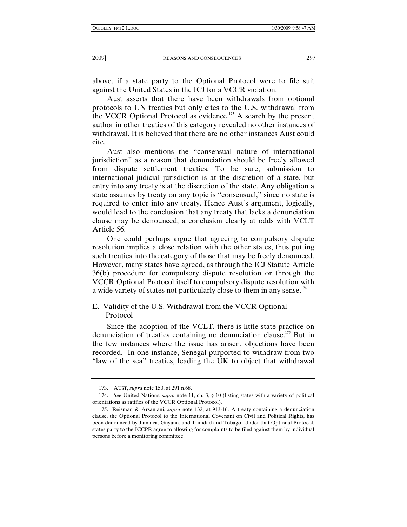above, if a state party to the Optional Protocol were to file suit against the United States in the ICJ for a VCCR violation.

Aust asserts that there have been withdrawals from optional protocols to UN treaties but only cites to the U.S. withdrawal from the VCCR Optional Protocol as evidence.<sup>173</sup> A search by the present author in other treaties of this category revealed no other instances of withdrawal. It is believed that there are no other instances Aust could cite.

Aust also mentions the "consensual nature of international jurisdiction" as a reason that denunciation should be freely allowed from dispute settlement treaties. To be sure, submission to international judicial jurisdiction is at the discretion of a state, but entry into any treaty is at the discretion of the state. Any obligation a state assumes by treaty on any topic is "consensual," since no state is required to enter into any treaty. Hence Aust's argument, logically, would lead to the conclusion that any treaty that lacks a denunciation clause may be denounced, a conclusion clearly at odds with VCLT Article 56.

One could perhaps argue that agreeing to compulsory dispute resolution implies a close relation with the other states, thus putting such treaties into the category of those that may be freely denounced. However, many states have agreed, as through the ICJ Statute Article 36(b) procedure for compulsory dispute resolution or through the VCCR Optional Protocol itself to compulsory dispute resolution with a wide variety of states not particularly close to them in any sense.<sup>174</sup>

# E. Validity of the U.S. Withdrawal from the VCCR Optional Protocol

Since the adoption of the VCLT, there is little state practice on denunciation of treaties containing no denunciation clause.175 But in the few instances where the issue has arisen, objections have been recorded. In one instance, Senegal purported to withdraw from two "law of the sea" treaties, leading the UK to object that withdrawal

 <sup>173.</sup> AUST, *supra* note 150, at 291 n.68.

 <sup>174.</sup> *See* United Nations, *supra* note 11, ch. 3, § 10 (listing states with a variety of political orientations as ratifies of the VCCR Optional Protocol).

 <sup>175.</sup> Reisman & Arsanjani, *supra* note 132, at 913-16. A treaty containing a denunciation clause, the Optional Protocol to the International Covenant on Civil and Political Rights, has been denounced by Jamaica, Guyana, and Trinidad and Tobago. Under that Optional Protocol, states party to the ICCPR agree to allowing for complaints to be filed against them by individual persons before a monitoring committee.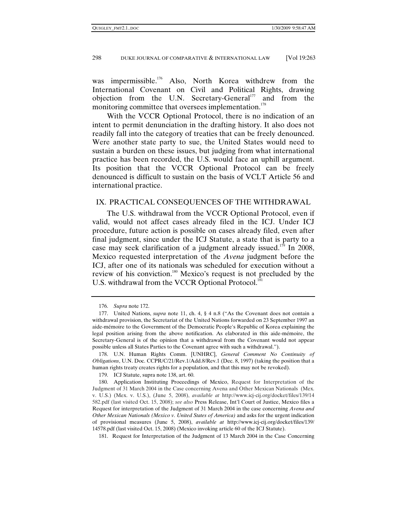was impermissible.<sup>176</sup> Also, North Korea withdrew from the International Covenant on Civil and Political Rights, drawing objection from the U.N. Secretary-General<sup>177</sup> and from the monitoring committee that oversees implementation.<sup>178</sup>

With the VCCR Optional Protocol, there is no indication of an intent to permit denunciation in the drafting history. It also does not readily fall into the category of treaties that can be freely denounced. Were another state party to sue, the United States would need to sustain a burden on these issues, but judging from what international practice has been recorded, the U.S. would face an uphill argument. Its position that the VCCR Optional Protocol can be freely denounced is difficult to sustain on the basis of VCLT Article 56 and international practice.

### IX. PRACTICAL CONSEQUENCES OF THE WITHDRAWAL

The U.S. withdrawal from the VCCR Optional Protocol, even if valid, would not affect cases already filed in the ICJ. Under ICJ procedure, future action is possible on cases already filed, even after final judgment, since under the ICJ Statute, a state that is party to a case may seek clarification of a judgment already issued.<sup>179</sup> In 2008, Mexico requested interpretation of the *Avena* judgment before the ICJ, after one of its nationals was scheduled for execution without a review of his conviction.<sup>180</sup> Mexico's request is not precluded by the U.S. withdrawal from the VCCR Optional Protocol.<sup>181</sup>

179. ICJ Statute, supra note 138, art. 60.

 <sup>176.</sup> *Supra* note 172.

 <sup>177.</sup> United Nations, *supra* note 11, ch. 4, § 4 n.8 ("As the Covenant does not contain a withdrawal provision, the Secretariat of the United Nations forwarded on 23 September 1997 an aide-mémoire to the Government of the Democratic People's Republic of Korea explaining the legal position arising from the above notification. As elaborated in this aide-mémoire, the Secretary-General is of the opinion that a withdrawal from the Covenant would not appear possible unless all States Parties to the Covenant agree with such a withdrawal.").

 <sup>178.</sup> U.N. Human Rights Comm. [UNHRC], *General Comment No Continuity of Obligations*, U.N. Doc. CCPR/C/21/Rev.1/Add.8/Rev.1 (Dec. 8, 1997) (taking the position that a human rights treaty creates rights for a population, and that this may not be revoked).

 <sup>180.</sup> Application Instituting Proceedings of Mexico, Request for Interpretation of the Judgment of 31 March 2004 in the Case concerning Avena and Other Mexican Nationals (Mex. v. U.S.) (Mex. v. U.S.), (June 5, 2008), *available at* http://www.icj-cij.org/docket/files/139/14 582.pdf (last visited Oct. 15, 2008); *see also* Press Release, Int'l Court of Justice, Mexico files a Request for interpretation of the Judgment of 31 March 2004 in the case concerning *Avena and Other Mexican Nationals (Mexico v. United States of America)* and asks for the urgent indication of provisional measures (June 5, 2008), *available at* http://www.icj-cij.org/docket/files/139/ 14578.pdf (last visited Oct. 15, 2008) (Mexico invoking article 60 of the ICJ Statute).

 <sup>181.</sup> Request for Interpretation of the Judgment of 13 March 2004 in the Case Concerning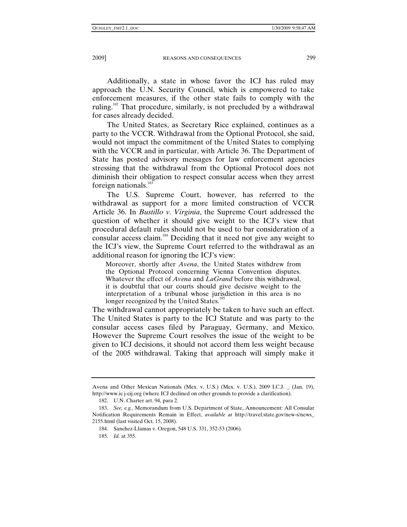Additionally, a state in whose favor the ICJ has ruled may approach the U.N. Security Council, which is empowered to take enforcement measures, if the other state fails to comply with the ruling.<sup>182</sup> That procedure, similarly, is not precluded by a withdrawal for cases already decided.

The United States, as Secretary Rice explained, continues as a party to the VCCR. Withdrawal from the Optional Protocol, she said, would not impact the commitment of the United States to complying with the VCCR and in particular, with Article 36. The Department of State has posted advisory messages for law enforcement agencies stressing that the withdrawal from the Optional Protocol does not diminish their obligation to respect consular access when they arrest foreign nationals.<sup>183</sup>

The U.S. Supreme Court, however, has referred to the withdrawal as support for a more limited construction of VCCR Article 36. In *Bustillo v. Virginia*, the Supreme Court addressed the question of whether it should give weight to the ICJ's view that procedural default rules should not be used to bar consideration of a consular access claim.184 Deciding that it need not give any weight to the ICJ's view, the Supreme Court referred to the withdrawal as an additional reason for ignoring the ICJ's view:

Moreover, shortly after *Avena*, the United States withdrew from the Optional Protocol concerning Vienna Convention disputes. Whatever the effect of *Avena* and *LaGrand* before this withdrawal, it is doubtful that our courts should give decisive weight to the interpretation of a tribunal whose jurisdiction in this area is no longer recognized by the United States.<sup>18</sup>

The withdrawal cannot appropriately be taken to have such an effect. The United States is party to the ICJ Statute and was party to the consular access cases filed by Paraguay, Germany, and Mexico. However the Supreme Court resolves the issue of the weight to be given to ICJ decisions, it should not accord them less weight because of the 2005 withdrawal. Taking that approach will simply make it

Avena and Other Mexican Nationals (Mex. v. U.S.) (Mex. v. U.S.), 2009 I.C.J. \_ (Jan. 19), http://www.ic j-cij.org (where ICJ declined on other grounds to provide a clarification).

 <sup>182.</sup> U.N. Charter art. 94, para 2.

 <sup>183.</sup> *See, e.g.*, Memorandum from U.S. Department of State, Announcement: All Consular Notification Requirements Remain in Effect, *available at* http://travel.state.gov/new-s/news\_ 2155.html (last visited Oct. 15, 2008).

 <sup>184.</sup> Sanchez-Llamas v. Oregon, 548 U.S. 331, 352-53 (2006).

 <sup>185.</sup> *Id.* at 355.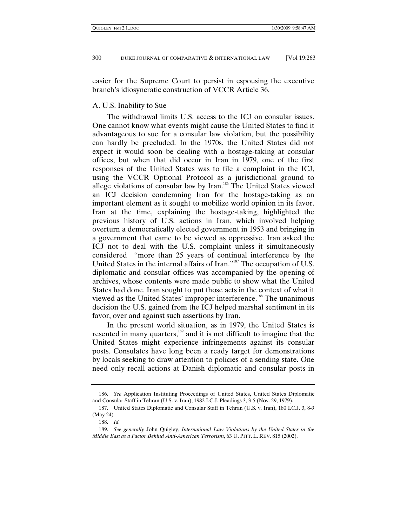easier for the Supreme Court to persist in espousing the executive branch's idiosyncratic construction of VCCR Article 36.

#### A. U.S. Inability to Sue

The withdrawal limits U.S. access to the ICJ on consular issues. One cannot know what events might cause the United States to find it advantageous to sue for a consular law violation, but the possibility can hardly be precluded. In the 1970s, the United States did not expect it would soon be dealing with a hostage-taking at consular offices, but when that did occur in Iran in 1979, one of the first responses of the United States was to file a complaint in the ICJ, using the VCCR Optional Protocol as a jurisdictional ground to allege violations of consular law by Iran.<sup>186</sup> The United States viewed an ICJ decision condemning Iran for the hostage-taking as an important element as it sought to mobilize world opinion in its favor. Iran at the time, explaining the hostage-taking, highlighted the previous history of U.S. actions in Iran, which involved helping overturn a democratically elected government in 1953 and bringing in a government that came to be viewed as oppressive. Iran asked the ICJ not to deal with the U.S. complaint unless it simultaneously considered "more than 25 years of continual interference by the United States in the internal affairs of Iran."<sup>187</sup> The occupation of U.S. diplomatic and consular offices was accompanied by the opening of archives, whose contents were made public to show what the United States had done. Iran sought to put those acts in the context of what it viewed as the United States' improper interference.<sup>188</sup> The unanimous decision the U.S. gained from the ICJ helped marshal sentiment in its favor, over and against such assertions by Iran.

In the present world situation, as in 1979, the United States is resented in many quarters,<sup>189</sup> and it is not difficult to imagine that the United States might experience infringements against its consular posts. Consulates have long been a ready target for demonstrations by locals seeking to draw attention to policies of a sending state. One need only recall actions at Danish diplomatic and consular posts in

 <sup>186.</sup> *See* Application Instituting Proceedings of United States, United States Diplomatic and Consular Staff in Tehran (U.S. v. Iran), 1982 I.C.J. Pleadings 3, 3-5 (Nov. 29, 1979).

 <sup>187.</sup> United States Diplomatic and Consular Staff in Tehran (U.S. v. Iran), 180 I.C.J. 3, 8-9 (May 24).

 <sup>188.</sup> *Id.*

 <sup>189.</sup> *See generally* John Quigley, *International Law Violations by the United States in the Middle East as a Factor Behind Anti-American Terrorism*, 63 U. PITT. L. REV. 815 (2002).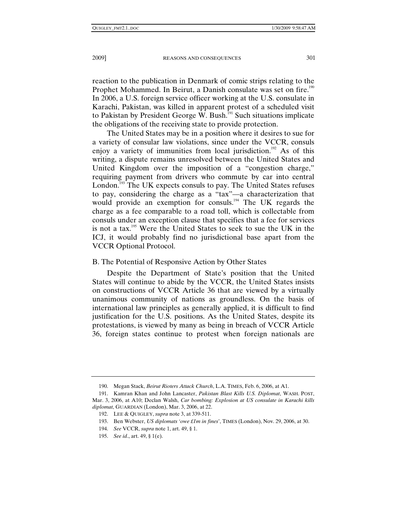reaction to the publication in Denmark of comic strips relating to the Prophet Mohammed. In Beirut, a Danish consulate was set on fire.<sup>190</sup> In 2006, a U.S. foreign service officer working at the U.S. consulate in Karachi, Pakistan, was killed in apparent protest of a scheduled visit to Pakistan by President George W. Bush.<sup>191</sup> Such situations implicate the obligations of the receiving state to provide protection.

The United States may be in a position where it desires to sue for a variety of consular law violations, since under the VCCR, consuls enjoy a variety of immunities from local jurisdiction.<sup>192</sup> As of this writing, a dispute remains unresolved between the United States and United Kingdom over the imposition of a "congestion charge," requiring payment from drivers who commute by car into central London.<sup>193</sup> The UK expects consuls to pay. The United States refuses to pay, considering the charge as a "tax"—a characterization that would provide an exemption for consuls.<sup>194</sup> The UK regards the charge as a fee comparable to a road toll, which is collectable from consuls under an exception clause that specifies that a fee for services is not a tax.195 Were the United States to seek to sue the UK in the ICJ, it would probably find no jurisdictional base apart from the VCCR Optional Protocol.

#### B. The Potential of Responsive Action by Other States

Despite the Department of State's position that the United States will continue to abide by the VCCR, the United States insists on constructions of VCCR Article 36 that are viewed by a virtually unanimous community of nations as groundless. On the basis of international law principles as generally applied, it is difficult to find justification for the U.S. positions. As the United States, despite its protestations, is viewed by many as being in breach of VCCR Article 36, foreign states continue to protest when foreign nationals are

 <sup>190.</sup> Megan Stack, *Beirut Rioters Attack Church*, L.A. TIMES, Feb. 6, 2006, at A1.

 <sup>191.</sup> Kamran Khan and John Lancaster, *Pakistan Blast Kills U.S. Diplomat*, WASH. POST, Mar. 3, 2006, at A10; Declan Walsh, *Car bombing: Explosion at US consulate in Karachi kills diplomat*, GUARDIAN (London), Mar. 3, 2006, at 22.

 <sup>192.</sup> LEE & QUIGLEY, *supra* note 3, at 339-511.

 <sup>193.</sup> Ben Webster, *US diplomats 'owe £1m in fines*', TIMES (London), Nov. 29, 2006, at 30.

 <sup>194.</sup> *See* VCCR, *supra* note 1, art. 49, § 1.

 <sup>195.</sup> *See id*., art. 49, § 1(e).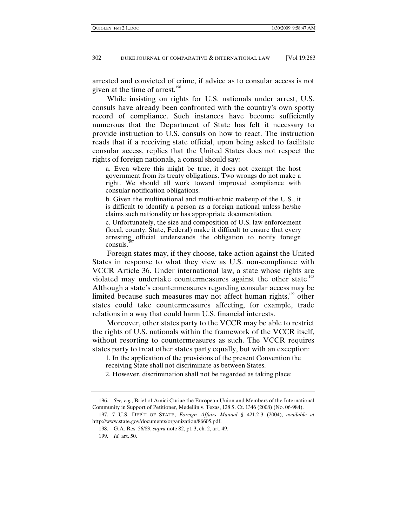arrested and convicted of crime, if advice as to consular access is not given at the time of arrest.<sup>196</sup>

While insisting on rights for U.S. nationals under arrest, U.S. consuls have already been confronted with the country's own spotty record of compliance. Such instances have become sufficiently numerous that the Department of State has felt it necessary to provide instruction to U.S. consuls on how to react. The instruction reads that if a receiving state official, upon being asked to facilitate consular access, replies that the United States does not respect the rights of foreign nationals, a consul should say:

a. Even where this might be true, it does not exempt the host government from its treaty obligations. Two wrongs do not make a right. We should all work toward improved compliance with consular notification obligations.

b. Given the multinational and multi-ethnic makeup of the U.S., it is difficult to identify a person as a foreign national unless he/she claims such nationality or has appropriate documentation.

c. Unfortunately, the size and composition of U.S. law enforcement (local, county, State, Federal) make it difficult to ensure that every arresting official understands the obligation to notify foreign consuls.<sup>1</sup>

Foreign states may, if they choose, take action against the United States in response to what they view as U.S. non-compliance with VCCR Article 36. Under international law, a state whose rights are violated may undertake countermeasures against the other state.<sup>198</sup> Although a state's countermeasures regarding consular access may be limited because such measures may not affect human rights,<sup>199</sup> other states could take countermeasures affecting, for example, trade relations in a way that could harm U.S. financial interests.

Moreover, other states party to the VCCR may be able to restrict the rights of U.S. nationals within the framework of the VCCR itself, without resorting to countermeasures as such. The VCCR requires states party to treat other states party equally, but with an exception:

1. In the application of the provisions of the present Convention the

receiving State shall not discriminate as between States.

2. However, discrimination shall not be regarded as taking place:

 <sup>196.</sup> *See, e.g.*, Brief of Amici Curiae the European Union and Members of the International Community in Support of Petitioner, Medellin v. Texas, 128 S. Ct. 1346 (2008) (No. 06-984).

 <sup>197. 7</sup> U.S. DEP'T OF STATE, *Foreign Affairs Manual* § 421.2-3 (2004), *available at* http://www.state.gov/documents/organization/86605.pdf.

 <sup>198.</sup> G.A. Res. 56/83, *supra* note 82, pt. 3, ch. 2, art. 49.

 <sup>199.</sup> *Id.* art. 50.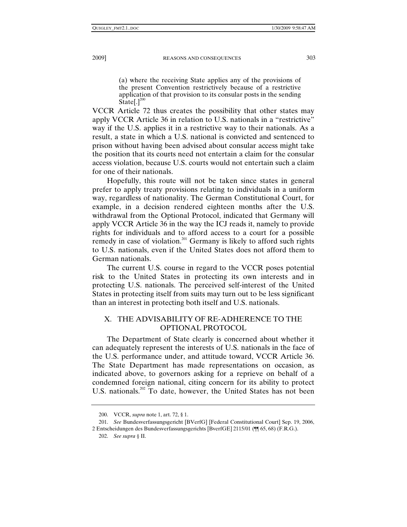(a) where the receiving State applies any of the provisions of the present Convention restrictively because of a restrictive application of that provision to its consular posts in the sending  $\text{State}$ [.]<sup>200</sup>

VCCR Article 72 thus creates the possibility that other states may apply VCCR Article 36 in relation to U.S. nationals in a "restrictive" way if the U.S. applies it in a restrictive way to their nationals. As a result, a state in which a U.S. national is convicted and sentenced to prison without having been advised about consular access might take the position that its courts need not entertain a claim for the consular access violation, because U.S. courts would not entertain such a claim for one of their nationals.

Hopefully, this route will not be taken since states in general prefer to apply treaty provisions relating to individuals in a uniform way, regardless of nationality. The German Constitutional Court, for example, in a decision rendered eighteen months after the U.S. withdrawal from the Optional Protocol, indicated that Germany will apply VCCR Article 36 in the way the ICJ reads it, namely to provide rights for individuals and to afford access to a court for a possible remedy in case of violation.<sup>201</sup> Germany is likely to afford such rights to U.S. nationals, even if the United States does not afford them to German nationals.

The current U.S. course in regard to the VCCR poses potential risk to the United States in protecting its own interests and in protecting U.S. nationals. The perceived self-interest of the United States in protecting itself from suits may turn out to be less significant than an interest in protecting both itself and U.S. nationals.

# X. THE ADVISABILITY OF RE-ADHERENCE TO THE OPTIONAL PROTOCOL

The Department of State clearly is concerned about whether it can adequately represent the interests of U.S. nationals in the face of the U.S. performance under, and attitude toward, VCCR Article 36. The State Department has made representations on occasion, as indicated above, to governors asking for a reprieve on behalf of a condemned foreign national, citing concern for its ability to protect U.S. nationals.<sup>202</sup> To date, however, the United States has not been

 <sup>200.</sup> VCCR, *supra* note 1, art. 72, § 1.

 <sup>201.</sup> *See* Bundesverfassungsgericht [BVerfG] [Federal Constitutional Court] Sep. 19, 2006, 2 Entscheidungen des Bundesverfassungsgerichts [BverfGE] 2115/01 (¶¶ 65, 68) (F.R.G.).

 <sup>202.</sup> *See supra* § II.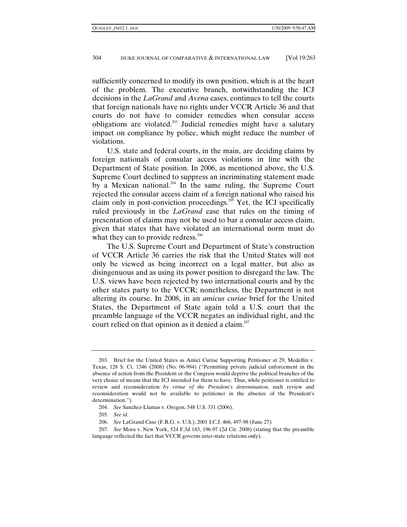sufficiently concerned to modify its own position, which is at the heart of the problem. The executive branch, notwithstanding the ICJ decisions in the *LaGrand* and *Avena* cases, continues to tell the courts that foreign nationals have no rights under VCCR Article 36 and that courts do not have to consider remedies when consular access obligations are violated.<sup>203</sup> Judicial remedies might have a salutary impact on compliance by police, which might reduce the number of violations.

U.S. state and federal courts, in the main, are deciding claims by foreign nationals of consular access violations in line with the Department of State position. In 2006, as mentioned above, the U.S. Supreme Court declined to suppress an incriminating statement made by a Mexican national.<sup>204</sup> In the same ruling, the Supreme Court rejected the consular access claim of a foreign national who raised his claim only in post-conviction proceedings.<sup>205</sup> Yet, the ICJ specifically ruled previously in the *LaGrand* case that rules on the timing of presentation of claims may not be used to bar a consular access claim, given that states that have violated an international norm must do what they can to provide redress.<sup>206</sup>

The U.S. Supreme Court and Department of State's construction of VCCR Article 36 carries the risk that the United States will not only be viewed as being incorrect on a legal matter, but also as disingenuous and as using its power position to disregard the law. The U.S. views have been rejected by two international courts and by the other states party to the VCCR; nonetheless, the Department is not altering its course. In 2008, in an *amicus curiae* brief for the United States, the Department of State again told a U.S. court that the preamble language of the VCCR negates an individual right, and the court relied on that opinion as it denied a claim.<sup>207</sup>

 <sup>203.</sup> Brief for the United States as Amici Curiae Supporting Petitioner at 29, Medellin v. Texas, 128 S. Ct. 1346 (2008) (No. 06-984) ("Permitting private judicial enforcement in the absence of action from the President or the Congress would deprive the political branches of the very choice of means that the ICJ intended for them to have. Thus, while petitioner is entitled to review and reconsideration *by virtue of the President's determination,* such review and reconsideration would not be available to petitioner in the absence of the President's determination.").

 <sup>204.</sup> *See* Sanchez-Llamas v. Oregon, 548 U.S. 331 (2006).

 <sup>205.</sup> *See id*.

 <sup>206.</sup> *See* LaGrand Case (F.R.G. v. U.S.), 2001 I.C.J. 466, 497-98 (June 27).

 <sup>207.</sup> *See* Mora v. New York, 524 F.3d 183, 196-97 (2d Cir. 2008) (stating that the preamble language reflected the fact that VCCR governs inter-state relations only).